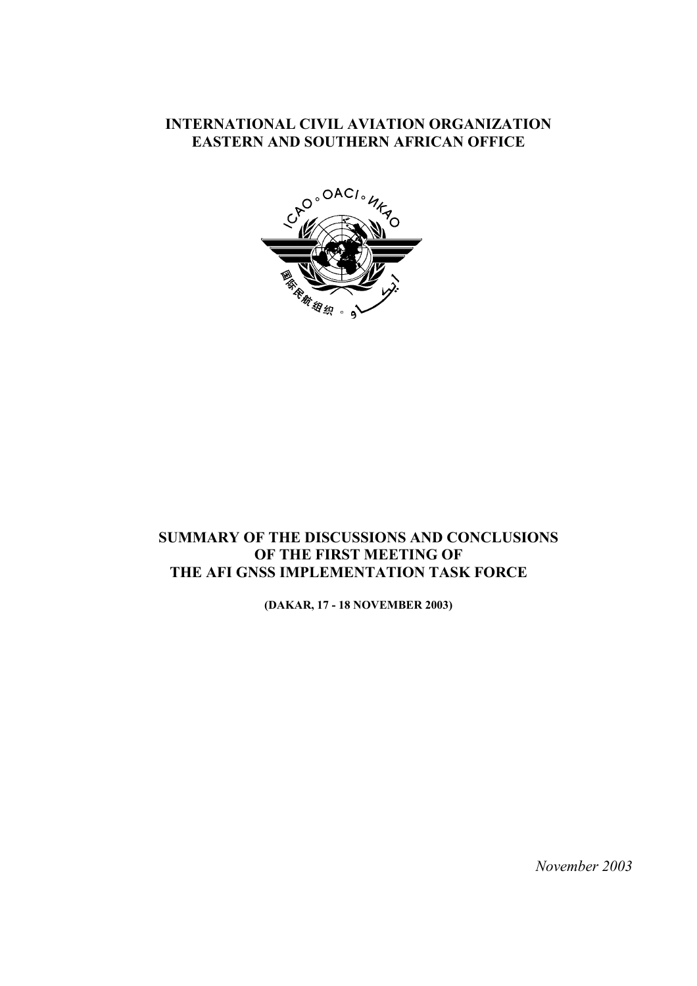### **INTERNATIONAL CIVIL AVIATION ORGANIZATION EASTERN AND SOUTHERN AFRICAN OFFICE**



## **SUMMARY OF THE DISCUSSIONS AND CONCLUSIONS OF THE FIRST MEETING OF THE AFI GNSS IMPLEMENTATION TASK FORCE**

**(DAKAR, 17 - 18 NOVEMBER 2003)**

 *November 2003*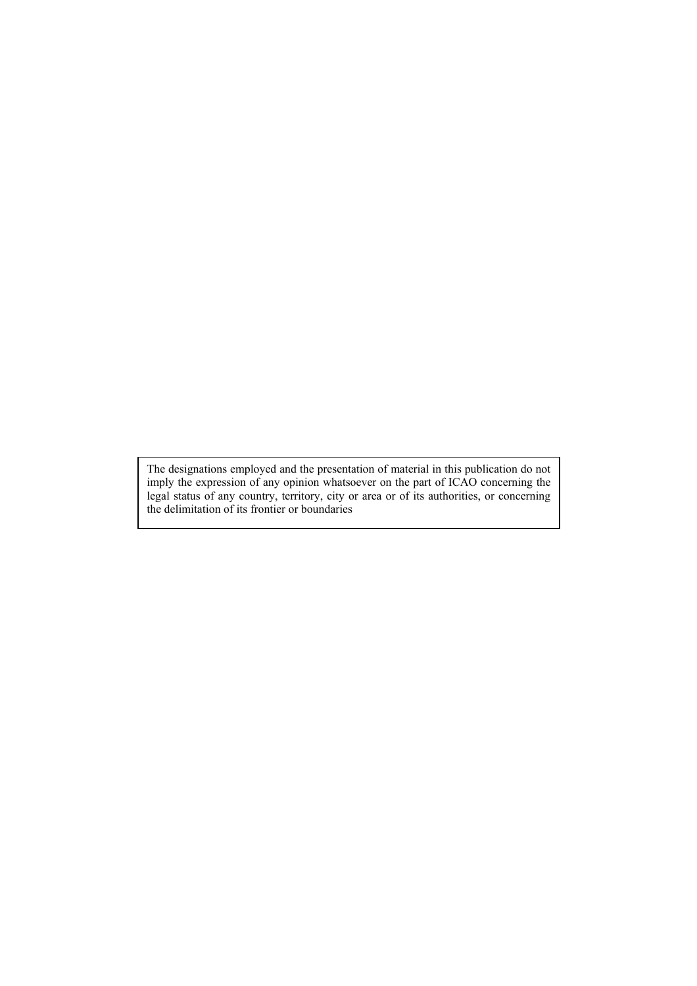The designations employed and the presentation of material in this publication do not imply the expression of any opinion whatsoever on the part of ICAO concerning the legal status of any country, territory, city or area or of its authorities, or concerning the delimitation of its frontier or boundaries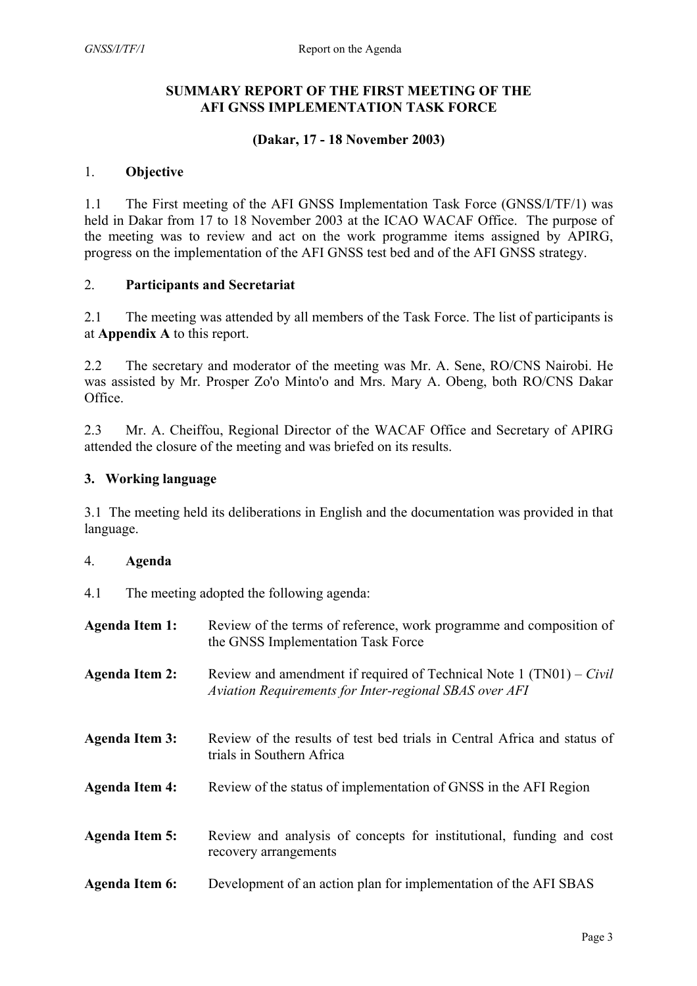#### **SUMMARY REPORT OF THE FIRST MEETING OF THE AFI GNSS IMPLEMENTATION TASK FORCE**

#### **(Dakar, 17 - 18 November 2003)**

#### 1. **Objective**

1.1 The First meeting of the AFI GNSS Implementation Task Force (GNSS/I/TF/1) was held in Dakar from 17 to 18 November 2003 at the ICAO WACAF Office. The purpose of the meeting was to review and act on the work programme items assigned by APIRG, progress on the implementation of the AFI GNSS test bed and of the AFI GNSS strategy.

#### 2. **Participants and Secretariat**

2.1 The meeting was attended by all members of the Task Force. The list of participants is at **Appendix A** to this report.

2.2 The secretary and moderator of the meeting was Mr. A. Sene, RO/CNS Nairobi. He was assisted by Mr. Prosper Zo'o Minto'o and Mrs. Mary A. Obeng, both RO/CNS Dakar Office.

2.3 Mr. A. Cheiffou, Regional Director of the WACAF Office and Secretary of APIRG attended the closure of the meeting and was briefed on its results.

#### **3. Working language**

3.1 The meeting held its deliberations in English and the documentation was provided in that language.

#### 4. **Agenda**

4.1 The meeting adopted the following agenda:

| <b>Agenda Item 1:</b> | Review of the terms of reference, work programme and composition of<br>the GNSS Implementation Task Force                       |
|-----------------------|---------------------------------------------------------------------------------------------------------------------------------|
| <b>Agenda Item 2:</b> | Review and amendment if required of Technical Note $1 (TN01) - Civil$<br>Aviation Requirements for Inter-regional SBAS over AFI |
| <b>Agenda Item 3:</b> | Review of the results of test bed trials in Central Africa and status of<br>trials in Southern Africa                           |
| <b>Agenda Item 4:</b> | Review of the status of implementation of GNSS in the AFI Region                                                                |
| <b>Agenda Item 5:</b> | Review and analysis of concepts for institutional, funding and cost<br>recovery arrangements                                    |
| <b>Agenda Item 6:</b> | Development of an action plan for implementation of the AFI SBAS                                                                |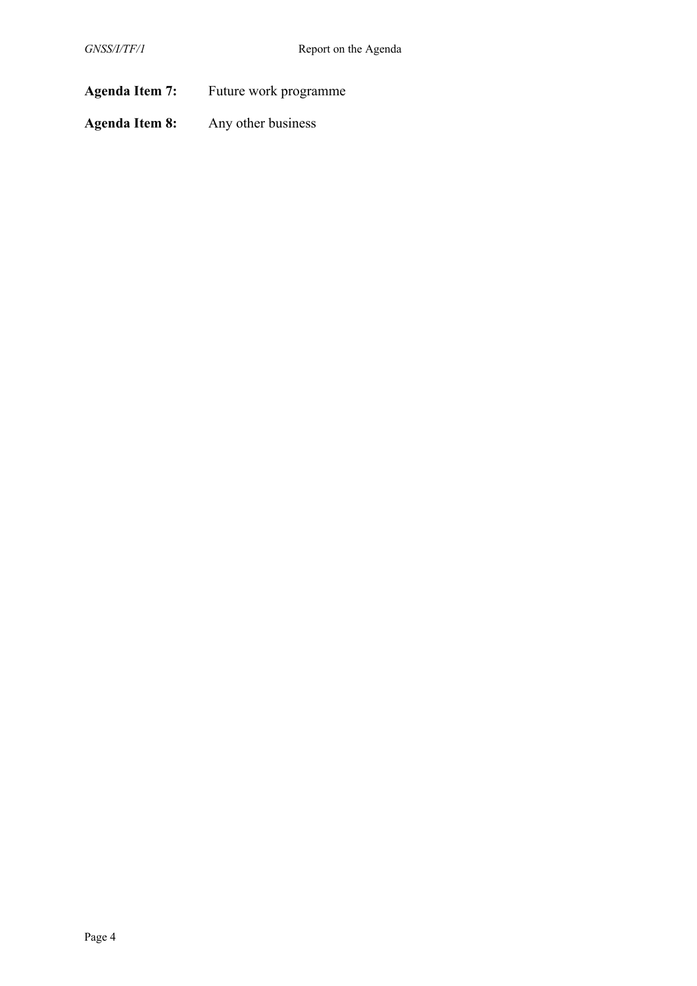Agenda Item 7: Future work programme

**Agenda Item 8:** Any other business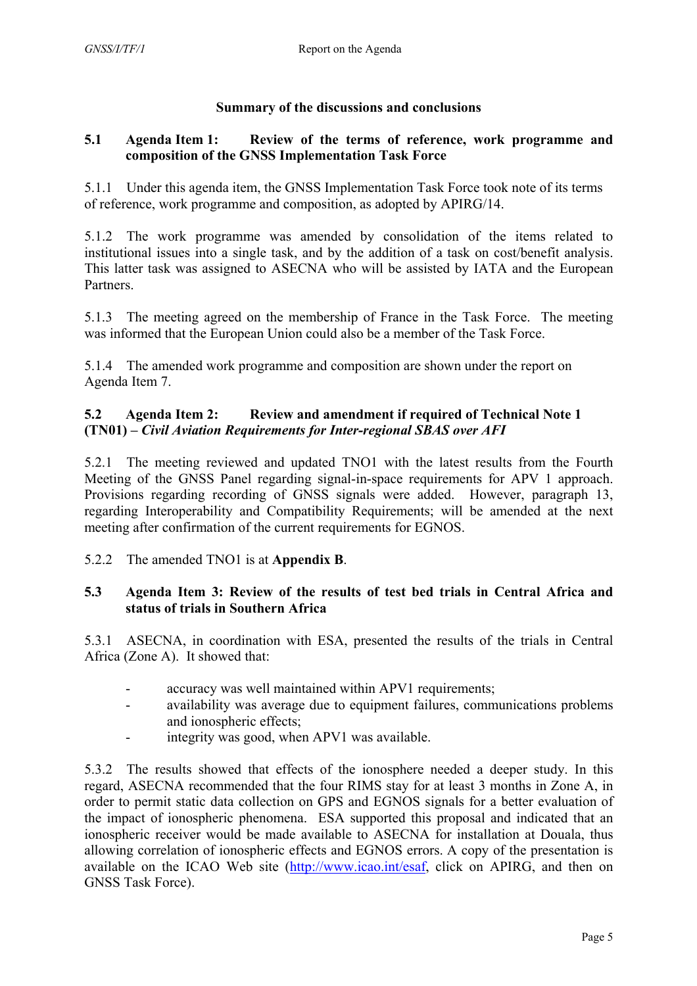#### **Summary of the discussions and conclusions**

#### **5.1 Agenda Item 1: Review of the terms of reference, work programme and composition of the GNSS Implementation Task Force**

5.1.1 Under this agenda item, the GNSS Implementation Task Force took note of its terms of reference, work programme and composition, as adopted by APIRG/14.

5.1.2 The work programme was amended by consolidation of the items related to institutional issues into a single task, and by the addition of a task on cost/benefit analysis. This latter task was assigned to ASECNA who will be assisted by IATA and the European **Partners** 

5.1.3 The meeting agreed on the membership of France in the Task Force. The meeting was informed that the European Union could also be a member of the Task Force.

5.1.4 The amended work programme and composition are shown under the report on Agenda Item 7.

#### **5.2 Agenda Item 2: Review and amendment if required of Technical Note 1 (TN01) –** *Civil Aviation Requirements for Inter-regional SBAS over AFI*

5.2.1 The meeting reviewed and updated TNO1 with the latest results from the Fourth Meeting of the GNSS Panel regarding signal-in-space requirements for APV 1 approach. Provisions regarding recording of GNSS signals were added. However, paragraph 13, regarding Interoperability and Compatibility Requirements; will be amended at the next meeting after confirmation of the current requirements for EGNOS.

5.2.2 The amended TNO1 is at **Appendix B**.

#### **5.3 Agenda Item 3: Review of the results of test bed trials in Central Africa and status of trials in Southern Africa**

5.3.1 ASECNA, in coordination with ESA, presented the results of the trials in Central Africa (Zone A). It showed that:

- accuracy was well maintained within APV1 requirements;
- availability was average due to equipment failures, communications problems and ionospheric effects;
- integrity was good, when APV1 was available.

5.3.2 The results showed that effects of the ionosphere needed a deeper study. In this regard, ASECNA recommended that the four RIMS stay for at least 3 months in Zone A, in order to permit static data collection on GPS and EGNOS signals for a better evaluation of the impact of ionospheric phenomena. ESA supported this proposal and indicated that an ionospheric receiver would be made available to ASECNA for installation at Douala, thus allowing correlation of ionospheric effects and EGNOS errors. A copy of the presentation is available on the ICAO Web site [\(http://www.icao.int/esaf,](http://www.icao.int/esaf) click on APIRG, and then on GNSS Task Force).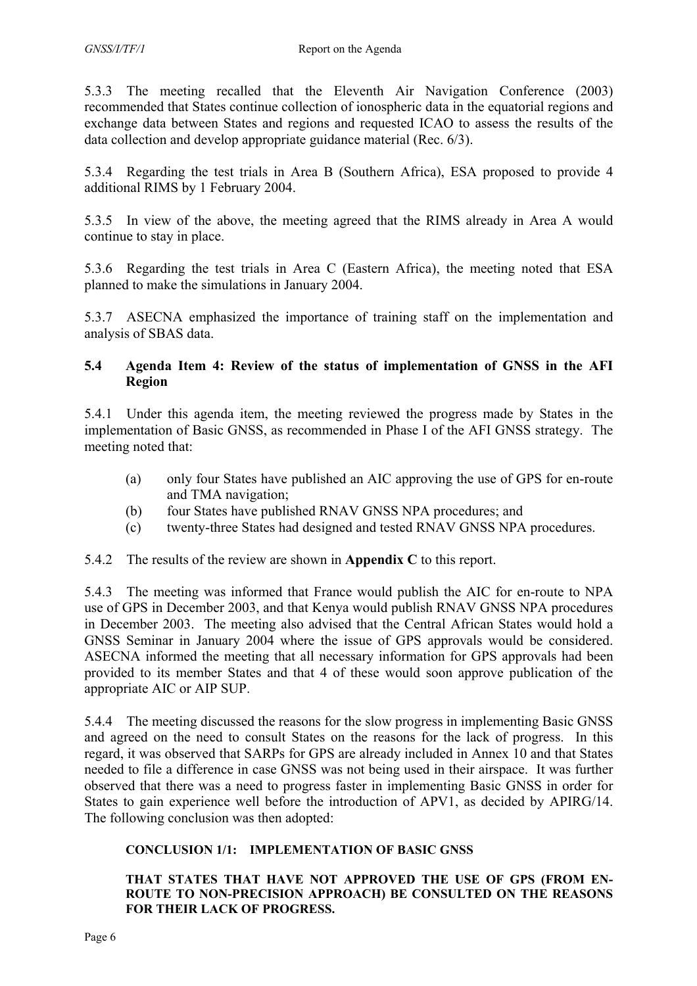5.3.3 The meeting recalled that the Eleventh Air Navigation Conference (2003) recommended that States continue collection of ionospheric data in the equatorial regions and exchange data between States and regions and requested ICAO to assess the results of the data collection and develop appropriate guidance material (Rec. 6/3).

5.3.4 Regarding the test trials in Area B (Southern Africa), ESA proposed to provide 4 additional RIMS by 1 February 2004.

5.3.5 In view of the above, the meeting agreed that the RIMS already in Area A would continue to stay in place.

5.3.6 Regarding the test trials in Area C (Eastern Africa), the meeting noted that ESA planned to make the simulations in January 2004.

5.3.7 ASECNA emphasized the importance of training staff on the implementation and analysis of SBAS data.

#### **5.4 Agenda Item 4: Review of the status of implementation of GNSS in the AFI Region**

5.4.1 Under this agenda item, the meeting reviewed the progress made by States in the implementation of Basic GNSS, as recommended in Phase I of the AFI GNSS strategy. The meeting noted that:

- (a) only four States have published an AIC approving the use of GPS for en-route and TMA navigation;
- (b) four States have published RNAV GNSS NPA procedures; and
- (c) twenty-three States had designed and tested RNAV GNSS NPA procedures.

5.4.2 The results of the review are shown in **Appendix C** to this report.

5.4.3 The meeting was informed that France would publish the AIC for en-route to NPA use of GPS in December 2003, and that Kenya would publish RNAV GNSS NPA procedures in December 2003. The meeting also advised that the Central African States would hold a GNSS Seminar in January 2004 where the issue of GPS approvals would be considered. ASECNA informed the meeting that all necessary information for GPS approvals had been provided to its member States and that 4 of these would soon approve publication of the appropriate AIC or AIP SUP.

5.4.4 The meeting discussed the reasons for the slow progress in implementing Basic GNSS and agreed on the need to consult States on the reasons for the lack of progress. In this regard, it was observed that SARPs for GPS are already included in Annex 10 and that States needed to file a difference in case GNSS was not being used in their airspace. It was further observed that there was a need to progress faster in implementing Basic GNSS in order for States to gain experience well before the introduction of APV1, as decided by APIRG/14. The following conclusion was then adopted:

#### **CONCLUSION 1/1: IMPLEMENTATION OF BASIC GNSS**

#### **THAT STATES THAT HAVE NOT APPROVED THE USE OF GPS (FROM EN-ROUTE TO NON-PRECISION APPROACH) BE CONSULTED ON THE REASONS FOR THEIR LACK OF PROGRESS.**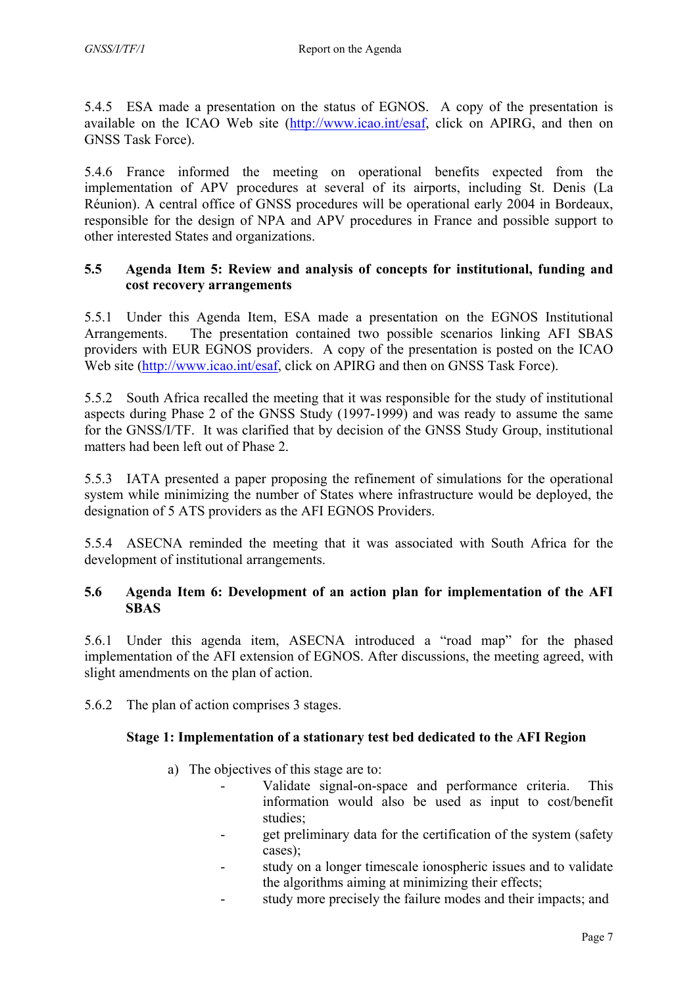5.4.5 ESA made a presentation on the status of EGNOS. A copy of the presentation is available on the ICAO Web site [\(http://www.icao.int/esaf,](http://www.icao.int/esaf) click on APIRG, and then on GNSS Task Force).

5.4.6 France informed the meeting on operational benefits expected from the implementation of APV procedures at several of its airports, including St. Denis (La Réunion). A central office of GNSS procedures will be operational early 2004 in Bordeaux, responsible for the design of NPA and APV procedures in France and possible support to other interested States and organizations.

#### **5.5 Agenda Item 5: Review and analysis of concepts for institutional, funding and cost recovery arrangements**

5.5.1 Under this Agenda Item, ESA made a presentation on the EGNOS Institutional Arrangements. The presentation contained two possible scenarios linking AFI SBAS providers with EUR EGNOS providers. A copy of the presentation is posted on the ICAO Web site [\(http://www.icao.int/esaf,](http://www.icao.int/esaf) click on APIRG and then on GNSS Task Force).

5.5.2 South Africa recalled the meeting that it was responsible for the study of institutional aspects during Phase 2 of the GNSS Study (1997-1999) and was ready to assume the same for the GNSS/I/TF. It was clarified that by decision of the GNSS Study Group, institutional matters had been left out of Phase 2.

5.5.3 IATA presented a paper proposing the refinement of simulations for the operational system while minimizing the number of States where infrastructure would be deployed, the designation of 5 ATS providers as the AFI EGNOS Providers.

5.5.4 ASECNA reminded the meeting that it was associated with South Africa for the development of institutional arrangements.

#### **5.6 Agenda Item 6: Development of an action plan for implementation of the AFI SBAS**

5.6.1 Under this agenda item, ASECNA introduced a "road map" for the phased implementation of the AFI extension of EGNOS. After discussions, the meeting agreed, with slight amendments on the plan of action.

5.6.2 The plan of action comprises 3 stages.

#### **Stage 1: Implementation of a stationary test bed dedicated to the AFI Region**

- a) The objectives of this stage are to:
	- Validate signal-on-space and performance criteria. This information would also be used as input to cost/benefit studies;
	- get preliminary data for the certification of the system (safety cases);
	- study on a longer timescale ionospheric issues and to validate the algorithms aiming at minimizing their effects;
	- study more precisely the failure modes and their impacts; and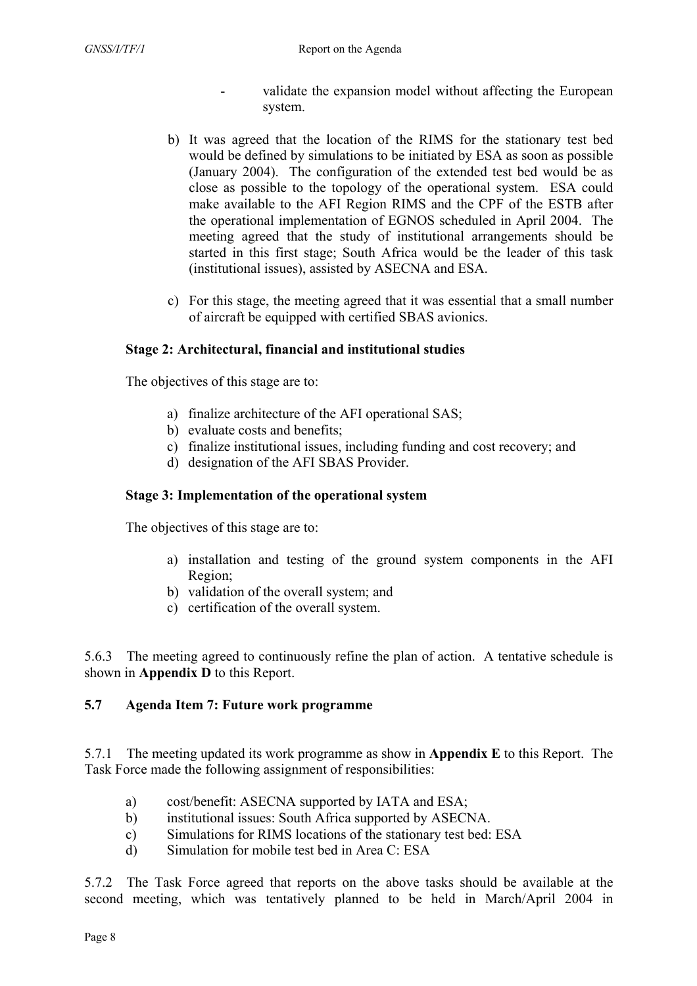- validate the expansion model without affecting the European system.
- b) It was agreed that the location of the RIMS for the stationary test bed would be defined by simulations to be initiated by ESA as soon as possible (January 2004). The configuration of the extended test bed would be as close as possible to the topology of the operational system. ESA could make available to the AFI Region RIMS and the CPF of the ESTB after the operational implementation of EGNOS scheduled in April 2004. The meeting agreed that the study of institutional arrangements should be started in this first stage; South Africa would be the leader of this task (institutional issues), assisted by ASECNA and ESA.
- c) For this stage, the meeting agreed that it was essential that a small number of aircraft be equipped with certified SBAS avionics.

#### **Stage 2: Architectural, financial and institutional studies**

The objectives of this stage are to:

- a) finalize architecture of the AFI operational SAS;
- b) evaluate costs and benefits;
- c) finalize institutional issues, including funding and cost recovery; and
- d) designation of the AFI SBAS Provider.

#### **Stage 3: Implementation of the operational system**

The objectives of this stage are to:

- a) installation and testing of the ground system components in the AFI Region;
- b) validation of the overall system; and
- c) certification of the overall system.

5.6.3 The meeting agreed to continuously refine the plan of action. A tentative schedule is shown in **Appendix D** to this Report.

#### **5.7 Agenda Item 7: Future work programme**

5.7.1 The meeting updated its work programme as show in **Appendix E** to this Report. The Task Force made the following assignment of responsibilities:

- a) cost/benefit: ASECNA supported by IATA and ESA;
- b) institutional issues: South Africa supported by ASECNA.
- c) Simulations for RIMS locations of the stationary test bed: ESA
- d) Simulation for mobile test bed in Area C: ESA

5.7.2 The Task Force agreed that reports on the above tasks should be available at the second meeting, which was tentatively planned to be held in March/April 2004 in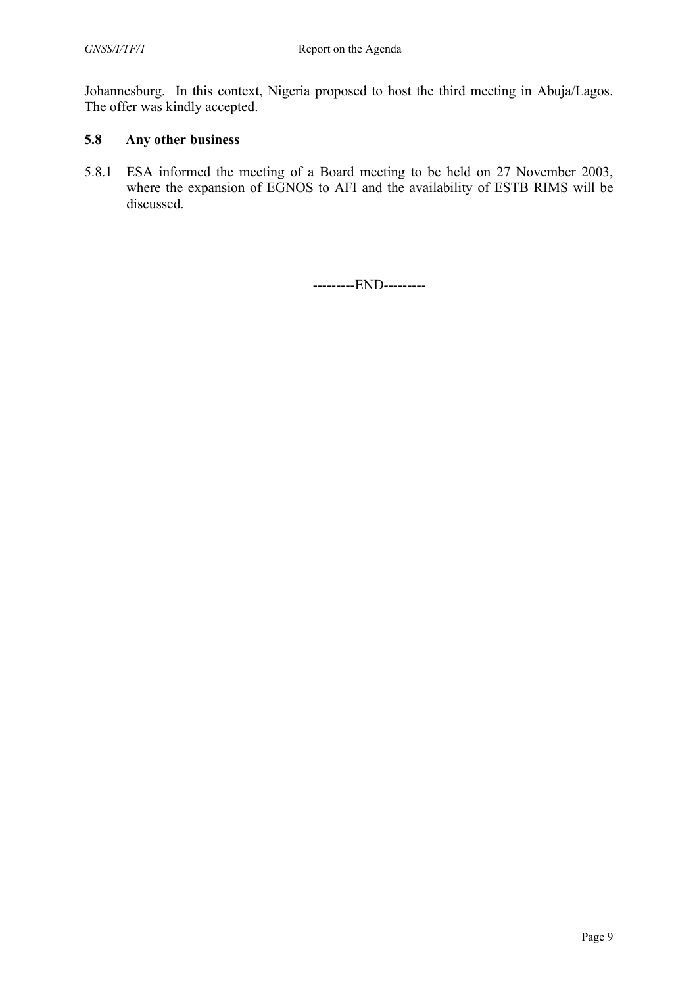Johannesburg. In this context, Nigeria proposed to host the third meeting in Abuja/Lagos. The offer was kindly accepted.

### **5.8 Any other business**

5.8.1 ESA informed the meeting of a Board meeting to be held on 27 November 2003, where the expansion of EGNOS to AFI and the availability of ESTB RIMS will be discussed.

---------END---------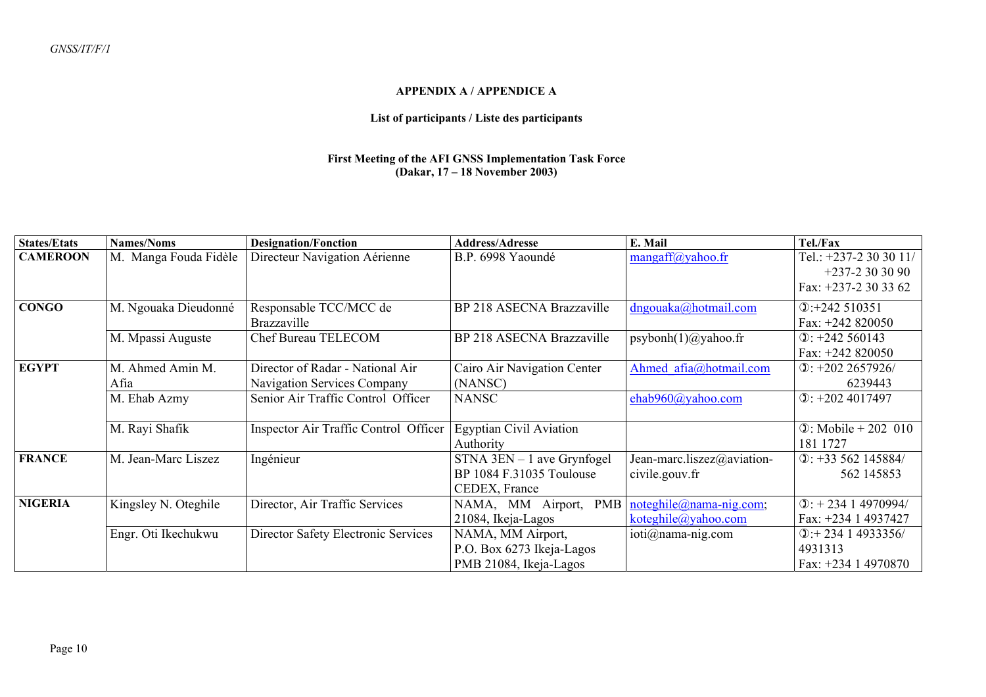#### **APPENDIX A / APPENDICE A**

#### **List of participants / Liste des participants**

#### **First Meeting of the AFI GNSS Implementation Task Force (Dakar, 17 – 18 November 2003)**

| <b>States/Etats</b> | <b>Names/Noms</b>        | <b>Designation/Fonction</b>                                     | <b>Address/Adresse</b>                                                     | E. Mail                                           | Tel./Fax                                                        |
|---------------------|--------------------------|-----------------------------------------------------------------|----------------------------------------------------------------------------|---------------------------------------------------|-----------------------------------------------------------------|
| <b>CAMEROON</b>     | M. Manga Fouda Fidèle    | Directeur Navigation Aérienne                                   | B.P. 6998 Yaoundé                                                          | $mangaff(a)$ yahoo.fr                             | Tel.: +237-2 30 30 11/<br>$+237-2303090$<br>Fax: $+237-2303362$ |
| <b>CONGO</b>        | M. Ngouaka Dieudonné     | Responsable TCC/MCC de<br>Brazzaville                           | BP 218 ASECNA Brazzaville                                                  | $d$ ngouaka@hotmail.com                           | $\textcircled{1}$ : +242 510351<br>Fax: $+242820050$            |
|                     | M. Mpassi Auguste        | <b>Chef Bureau TELECOM</b>                                      | BP 218 ASECNA Brazzaville                                                  | $psybonh(1)$ @yahoo.fr                            | $\textcircled{1}: +242\,560143$<br>Fax: $+242820050$            |
| <b>EGYPT</b>        | M. Ahmed Amin M.<br>Afia | Director of Radar - National Air<br>Navigation Services Company | Cairo Air Navigation Center<br>(NANSC)                                     | Ahmed afia@hotmail.com                            | $\Phi$ : +202 2657926/<br>6239443                               |
|                     | M. Ehab Azmy             | Senior Air Traffic Control Officer                              | <b>NANSC</b>                                                               | ehab960@yahoo.com                                 | $Q$ : +202 4017497                                              |
|                     | M. Rayi Shafik           | Inspector Air Traffic Control Officer                           | <b>Egyptian Civil Aviation</b><br>Authority                                |                                                   | $\Phi$ : Mobile + 202 010<br>181 1727                           |
| <b>FRANCE</b>       | M. Jean-Marc Liszez      | Ingénieur                                                       | $STNA$ 3EN $-1$ ave Grynfogel<br>BP 1084 F.31035 Toulouse<br>CEDEX, France | Jean-marc.liszez@aviation-<br>civile.gouv.fr      | $D: +33562145884/$<br>562 145853                                |
| <b>NIGERIA</b>      | Kingsley N. Oteghile     | Director, Air Traffic Services                                  | NAMA, MM Airport,<br><b>PMB</b><br>21084, Ikeja-Lagos                      | $notewhile @name-nig.com;$<br>koteghile@yahoo.com | $\mathcal{D}:$ + 234 1 4970994/<br>Fax: +234 1 4937427          |
|                     | Engr. Oti Ikechukwu      | Director Safety Electronic Services                             | NAMA, MM Airport,<br>P.O. Box 6273 Ikeja-Lagos<br>PMB 21084, Ikeja-Lagos   | ioti@nama-nig.com                                 | $\mathbb{Q}$ :+234 1 4933356/<br>4931313<br>Fax: +234 1 4970870 |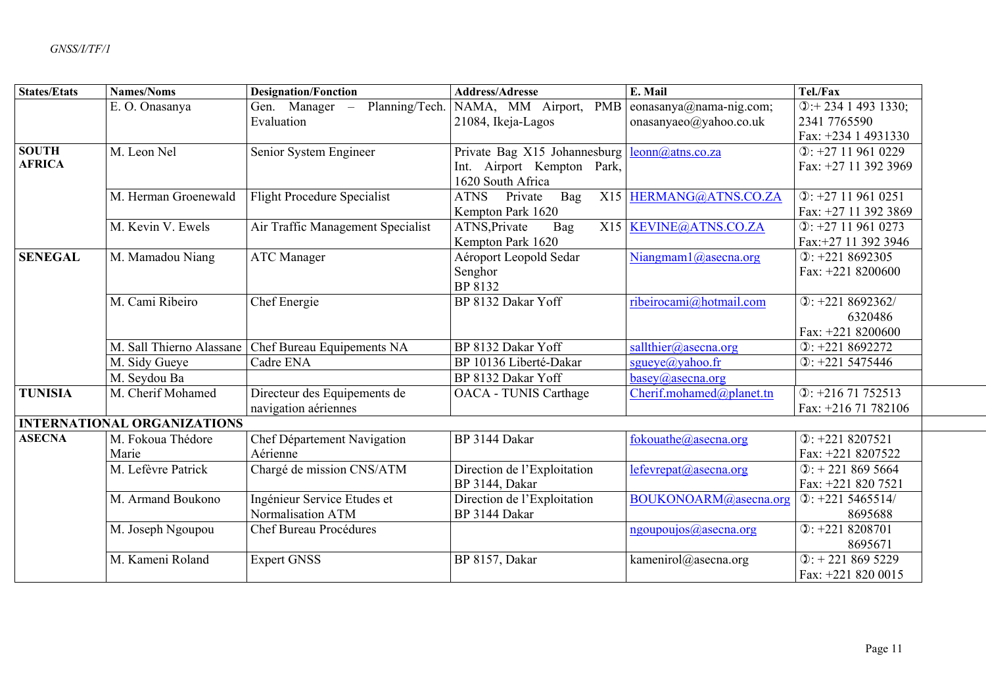| <b>States/Etats</b> | <b>Names/Noms</b>                  | <b>Designation/Fonction</b>        | <b>Address/Adresse</b>                             | E. Mail                  | Tel./Fax                                                |
|---------------------|------------------------------------|------------------------------------|----------------------------------------------------|--------------------------|---------------------------------------------------------|
|                     | E.O. Onasanya                      | Planning/Tech.<br>Gen. Manager -   | NAMA, MM Airport, PMB                              | eonasanya@nama-nig.com;  | $\overline{①:}$ + 234 1 493 1330;                       |
|                     |                                    | Evaluation                         | 21084, Ikeja-Lagos                                 | onasanyaeo@yahoo.co.uk   | 2341 7765590                                            |
|                     |                                    |                                    |                                                    |                          | Fax: +234 1 4931330                                     |
| <b>SOUTH</b>        | M. Leon Nel                        | Senior System Engineer             | Private Bag X15 Johannesburg   leonn@atns.co.za    |                          | $D: +27119610229$                                       |
| <b>AFRICA</b>       |                                    |                                    | Int. Airport Kempton Park,<br>1620 South Africa    |                          | Fax: +27 11 392 3969                                    |
|                     | M. Herman Groenewald               | <b>Flight Procedure Specialist</b> | Bag<br>Private<br><b>ATNS</b><br>Kempton Park 1620 | X15 HERMANG@ATNS.CO.ZA   | $\textcircled{1}: +27119610251$<br>Fax: +27 11 392 3869 |
|                     | M. Kevin V. Ewels                  | Air Traffic Management Specialist  | ATNS, Private<br><b>Bag</b>                        | X15 KEVINE@ATNS.CO.ZA    | $D: +27119610273$                                       |
|                     |                                    |                                    | Kempton Park 1620                                  |                          | Fax:+27 11 392 3946                                     |
| <b>SENEGAL</b>      | M. Mamadou Niang                   | <b>ATC</b> Manager                 | Aéroport Leopold Sedar                             | Niangmam1@asecna.org     | $\textcircled{1}: +2218692305$                          |
|                     |                                    |                                    | Senghor                                            |                          | Fax: +221 8200600                                       |
|                     |                                    |                                    | BP 8132                                            |                          |                                                         |
|                     | M. Cami Ribeiro                    | Chef Energie                       | BP 8132 Dakar Yoff                                 | ribeirocami@hotmail.com  | $\textcircled{1}: +2218692362/$                         |
|                     |                                    |                                    |                                                    |                          | 6320486                                                 |
|                     |                                    |                                    |                                                    |                          | Fax: +221 8200600                                       |
|                     | M. Sall Thierno Alassane           | Chef Bureau Equipements NA         | BP 8132 Dakar Yoff                                 | sallthier@asecna.org     | $\textcircled{1}: +2218692272$                          |
|                     | M. Sidy Gueye                      | Cadre ENA                          | BP 10136 Liberté-Dakar                             | sgueye@yahoo.fr          | $\mathbb{O}: +221\,5475446$                             |
|                     | M. Seydou Ba                       |                                    | BP 8132 Dakar Yoff                                 | basey@asecna.org         |                                                         |
| <b>TUNISIA</b>      | M. Cherif Mohamed                  | Directeur des Equipements de       | <b>OACA - TUNIS Carthage</b>                       | Cherif.mohamed@planet.tn | $Q$ : +216 71 752513                                    |
|                     |                                    | navigation aériennes               |                                                    |                          | Fax: +216 71 782106                                     |
|                     | <b>INTERNATIONAL ORGANIZATIONS</b> |                                    |                                                    |                          |                                                         |
| <b>ASECNA</b>       | M. Fokoua Thédore                  | Chef Département Navigation        | BP 3144 Dakar                                      | fokouathe@asecna.org     | $\textcircled{1}: +221\,8207521$                        |
|                     | Marie                              | Aérienne                           |                                                    |                          | Fax: +221 8207522                                       |
|                     | M. Lefèvre Patrick                 | Chargé de mission CNS/ATM          | Direction de l'Exploitation                        | lefevrepat@asecna.org    | $\mathbb{O}:$ + 221 869 5664                            |
|                     |                                    |                                    | BP 3144, Dakar                                     |                          | Fax: +221 820 7521                                      |
|                     | M. Armand Boukono                  | Ingénieur Service Etudes et        | Direction de l'Exploitation                        | BOUKONOARM@asecna.org    | $\textcircled{1}: +221\,5465514/$                       |
|                     |                                    | Normalisation ATM                  | BP 3144 Dakar                                      |                          | 8695688                                                 |
|                     | M. Joseph Ngoupou                  | <b>Chef Bureau Procédures</b>      |                                                    | ngoupoujos@asecna.org    | $D: +2218208701$                                        |
|                     |                                    |                                    |                                                    |                          | 8695671                                                 |
|                     | M. Kameni Roland                   | <b>Expert GNSS</b>                 | BP 8157, Dakar                                     | kamenirol@asecna.org     | $\textcircled{1}: +2218695229$                          |
|                     |                                    |                                    |                                                    |                          | Fax: +221 820 0015                                      |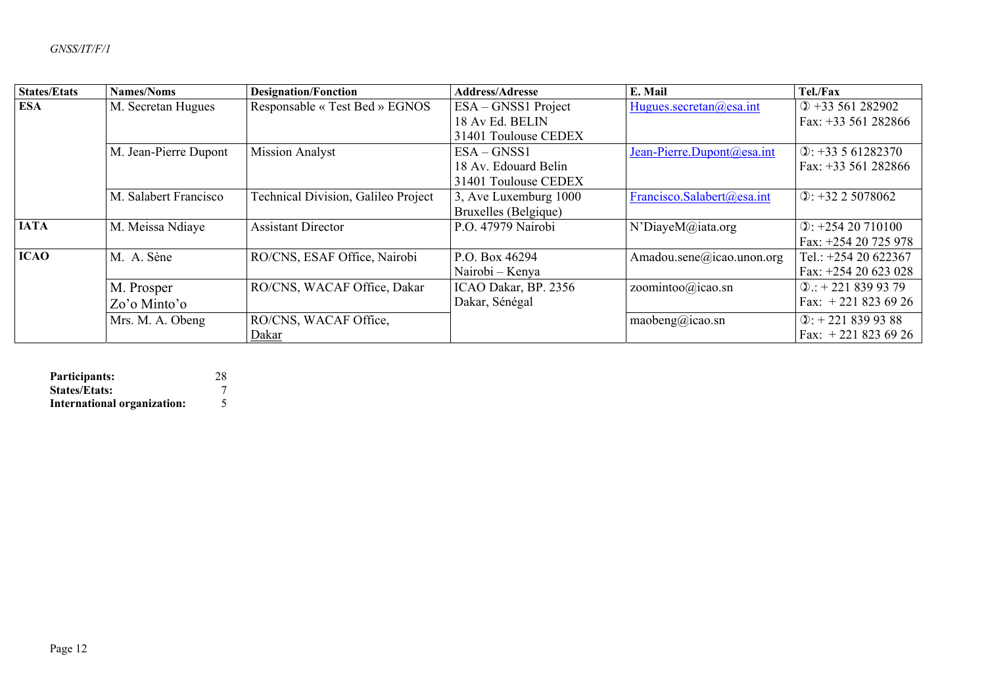| <b>States/Etats</b> | Names/Noms            | <b>Designation/Fonction</b>         | <b>Address/Adresse</b> | E. Mail                    | Tel./Fax                            |
|---------------------|-----------------------|-------------------------------------|------------------------|----------------------------|-------------------------------------|
| <b>ESA</b>          | M. Secretan Hugues    | Responsable « Test Bed » EGNOS      | ESA – GNSS1 Project    | Hugues.secretan@esa.int    | $① +33561282902$                    |
|                     |                       |                                     | 18 Av Ed. BELIN        |                            | Fax: $+33561282866$                 |
|                     |                       |                                     | 31401 Toulouse CEDEX   |                            |                                     |
|                     | M. Jean-Pierre Dupont | <b>Mission Analyst</b>              | $ESA-GNSS1$            | Jean-Pierre.Dupont@esa.int | $\textcircled{1}: +33561282370$     |
|                     |                       |                                     | 18 Av. Edouard Belin   |                            | Fax: $+33561282866$                 |
|                     |                       |                                     | 31401 Toulouse CEDEX   |                            |                                     |
|                     | M. Salabert Francisco | Technical Division, Galileo Project | 3, Ave Luxemburg 1000  | Francisco.Salabert@esa.int | $\Phi$ : +32 2 5078062              |
|                     |                       |                                     | Bruxelles (Belgique)   |                            |                                     |
| <b>IATA</b>         | M. Meissa Ndiaye      | <b>Assistant Director</b>           | P.O. 47979 Nairobi     | N'DiayeM@iata.org          | $\Phi$ : +254 20 710100             |
|                     |                       |                                     |                        |                            | Fax: +254 20 725 978                |
| <b>ICAO</b>         | M. A. Sène            | RO/CNS, ESAF Office, Nairobi        | P.O. Box 46294         | Amadou.sene@icao.unon.org  | Tel.: +254 20 622367                |
|                     |                       |                                     | Nairobi – Kenya        |                            | Fax: $+25420623028$                 |
|                     | M. Prosper            | RO/CNS, WACAF Office, Dakar         | ICAO Dakar, BP. 2356   | zoomintoo@icao.sn          | $\Phi$ : + 221 839 93 79            |
|                     | $Zo'o$ Minto'o        |                                     | Dakar, Sénégal         |                            | Fax: $+2218236926$                  |
|                     | Mrs. M. A. Obeng      | RO/CNS, WACAF Office,               |                        | maobeng@icao.sn            | $\textcircled{1}$ : + 221 839 93 88 |
|                     |                       | Dakar                               |                        |                            | Fax: $+2218236926$                  |

| Participants:               | 28 |
|-----------------------------|----|
| <b>States/Etats:</b>        |    |
| International organization: |    |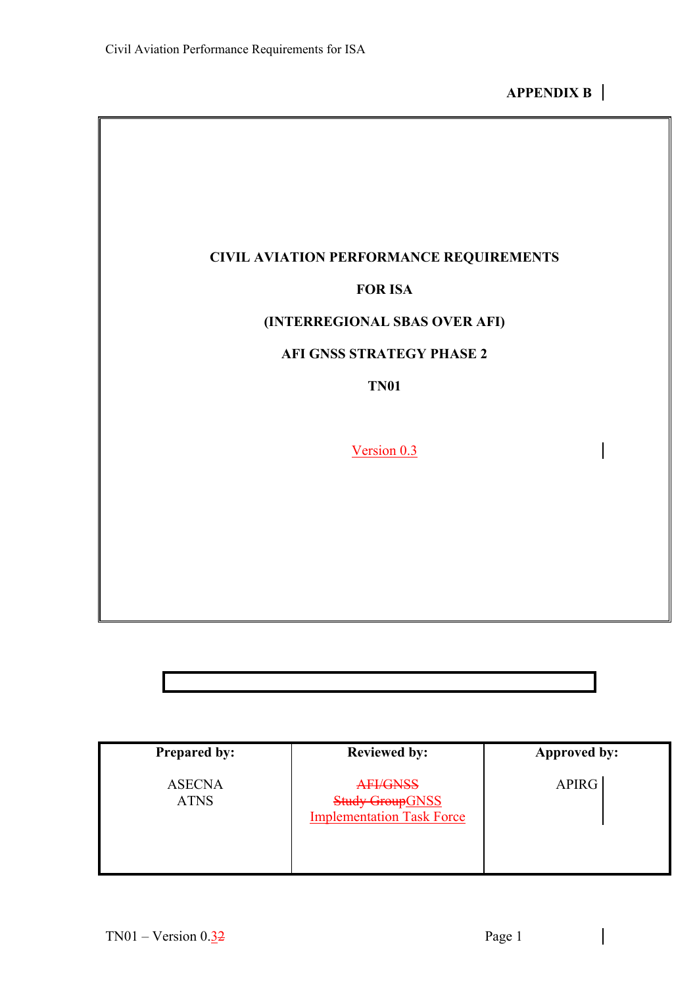## **CIVIL AVIATION PERFORMANCE REQUIREMENTS**

#### **FOR ISA**

### **(INTERREGIONAL SBAS OVER AFI)**

### **AFI GNSS STRATEGY PHASE 2**

**TN01** 

Version 0.3

**Prepared by:**  ASECNA ATNS **Reviewed by:**  AFI/GNSS **Study GroupGNSS** Implementation Task Force **Approved by:**  APIRG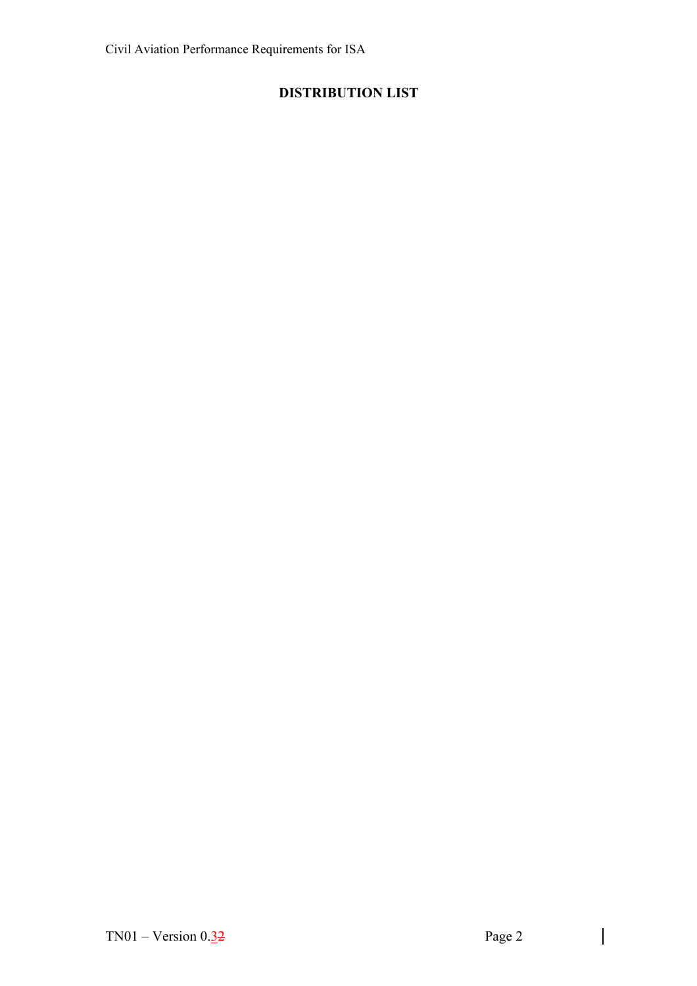# **DISTRIBUTION LIST**

 $\begin{array}{c} \hline \end{array}$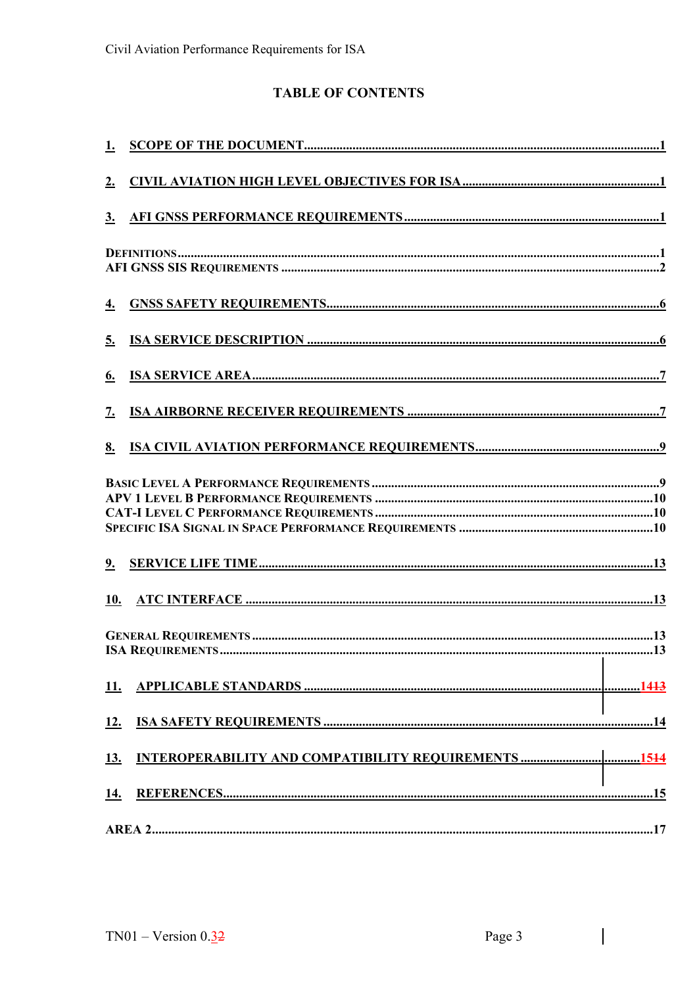# **TABLE OF CONTENTS**

| 2.                |                                                                                                                                                                                                                                                                                                                                               |
|-------------------|-----------------------------------------------------------------------------------------------------------------------------------------------------------------------------------------------------------------------------------------------------------------------------------------------------------------------------------------------|
| $\underline{3}$ . |                                                                                                                                                                                                                                                                                                                                               |
|                   | $\frac{1}{1+\pi}$ $\frac{1}{1+\pi}$ $\frac{1}{1+\pi}$ $\frac{1}{1+\pi}$ $\frac{1}{1+\pi}$ $\frac{1}{1+\pi}$ $\frac{1}{1+\pi}$ $\frac{1}{1+\pi}$ $\frac{1}{1+\pi}$ $\frac{1}{1+\pi}$ $\frac{1}{1+\pi}$ $\frac{1}{1+\pi}$ $\frac{1}{1+\pi}$ $\frac{1}{1+\pi}$ $\frac{1}{1+\pi}$ $\frac{1}{1+\pi}$ $\frac{1}{1+\pi}$ $\frac{1}{1+\pi}$ $\frac{1$ |
| <u>4.</u>         |                                                                                                                                                                                                                                                                                                                                               |
| 5.                |                                                                                                                                                                                                                                                                                                                                               |
| <u>6.</u>         |                                                                                                                                                                                                                                                                                                                                               |
| 7.                |                                                                                                                                                                                                                                                                                                                                               |
| 8.                |                                                                                                                                                                                                                                                                                                                                               |
|                   |                                                                                                                                                                                                                                                                                                                                               |
| 9.                |                                                                                                                                                                                                                                                                                                                                               |
| <u>10.</u>        |                                                                                                                                                                                                                                                                                                                                               |
|                   | the contract of the contract of the contract of the contract of the contract of                                                                                                                                                                                                                                                               |
| 11.               |                                                                                                                                                                                                                                                                                                                                               |
| 12.               |                                                                                                                                                                                                                                                                                                                                               |
| <u>13.</u>        |                                                                                                                                                                                                                                                                                                                                               |
| 14.               |                                                                                                                                                                                                                                                                                                                                               |
|                   |                                                                                                                                                                                                                                                                                                                                               |

 $\begin{array}{c} \hline \end{array}$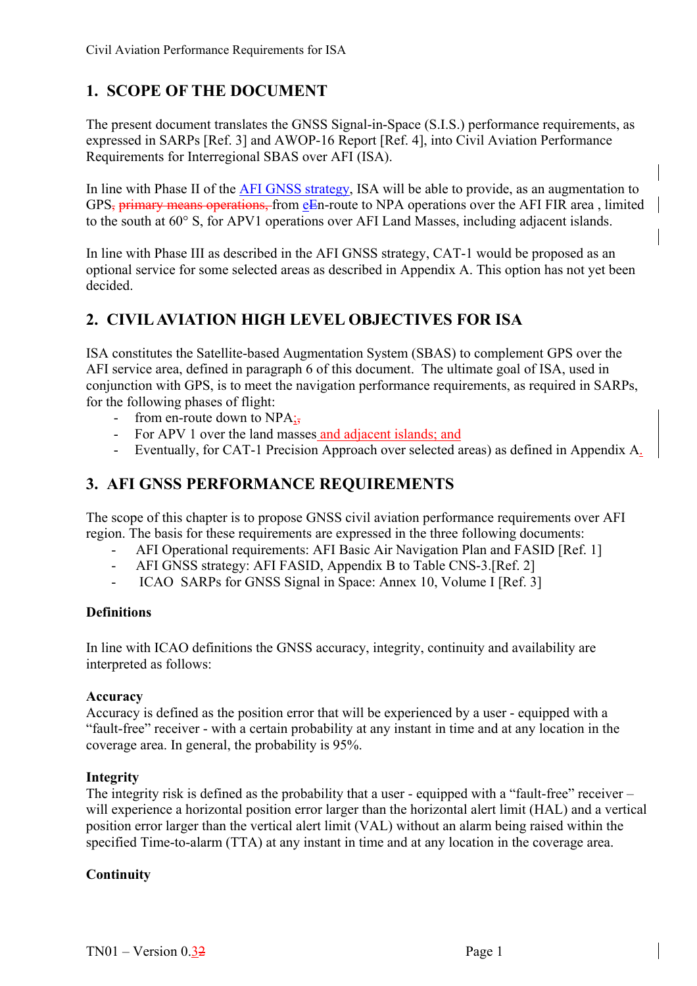# <span id="page-15-0"></span>**1. SCOPE OF THE DOCUMENT**

The present document translates the GNSS Signal-in-Space (S.I.S.) performance requirements, as expressed in SARPs [Ref. 3] and AWOP-16 Report [Ref. 4], into Civil Aviation Performance Requirements for Interregional SBAS over AFI (ISA).

In line with Phase II of the AFI GNSS strategy, ISA will be able to provide, as an augmentation to GPS, primary means operations, from eEn-route to NPA operations over the AFI FIR area , limited to the south at 60° S, for APV1 operations over AFI Land Masses, including adjacent islands.

In line with Phase III as described in the AFI GNSS strategy, CAT-1 would be proposed as an optional service for some selected areas as described in Appendix A. This option has not yet been decided.

# <span id="page-15-1"></span>**2. CIVIL AVIATION HIGH LEVEL OBJECTIVES FOR ISA**

ISA constitutes the Satellite-based Augmentation System (SBAS) to complement GPS over the AFI service area, defined in paragraph 6 of this document. The ultimate goal of ISA, used in conjunction with GPS, is to meet the navigation performance requirements, as required in SARPs, for the following phases of flight:

- from en-route down to  $NPA$ ;
- For APV 1 over the land masses and adjacent islands; and
- Eventually, for CAT-1 Precision Approach over selected areas) as defined in Appendix A.

# <span id="page-15-2"></span>**3. AFI GNSS PERFORMANCE REQUIREMENTS**

The scope of this chapter is to propose GNSS civil aviation performance requirements over AFI region. The basis for these requirements are expressed in the three following documents:

- AFI Operational requirements: AFI Basic Air Navigation Plan and FASID [Ref. 1]
- AFI GNSS strategy: AFI FASID, Appendix B to Table CNS-3.[Ref. 2]
- ICAO SARPs for GNSS Signal in Space: Annex 10, Volume I [Ref. 3]

#### <span id="page-15-3"></span>**Definitions**

In line with ICAO definitions the GNSS accuracy, integrity, continuity and availability are interpreted as follows:

#### **Accuracy**

Accuracy is defined as the position error that will be experienced by a user - equipped with a "fault-free" receiver - with a certain probability at any instant in time and at any location in the coverage area. In general, the probability is 95%.

#### **Integrity**

The integrity risk is defined as the probability that a user - equipped with a "fault-free" receiver – will experience a horizontal position error larger than the horizontal alert limit (HAL) and a vertical position error larger than the vertical alert limit (VAL) without an alarm being raised within the specified Time-to-alarm (TTA) at any instant in time and at any location in the coverage area.

#### **Continuity**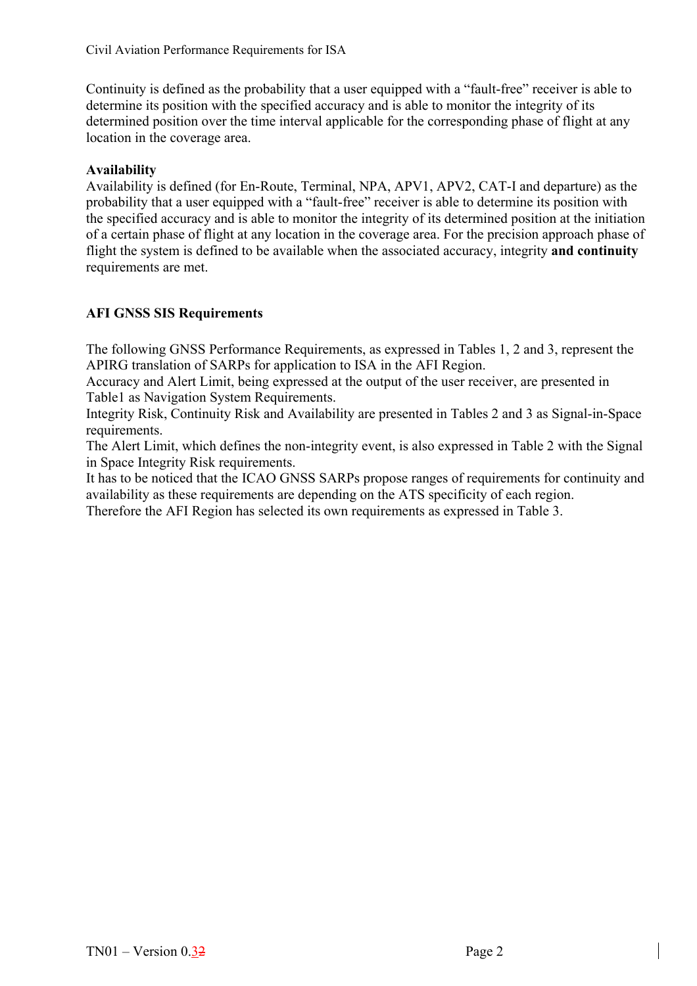Continuity is defined as the probability that a user equipped with a "fault-free" receiver is able to determine its position with the specified accuracy and is able to monitor the integrity of its determined position over the time interval applicable for the corresponding phase of flight at any location in the coverage area.

#### **Availability**

Availability is defined (for En-Route, Terminal, NPA, APV1, APV2, CAT-I and departure) as the probability that a user equipped with a "fault-free" receiver is able to determine its position with the specified accuracy and is able to monitor the integrity of its determined position at the initiation of a certain phase of flight at any location in the coverage area. For the precision approach phase of flight the system is defined to be available when the associated accuracy, integrity **and continuity** requirements are met.

### <span id="page-16-0"></span>**AFI GNSS SIS Requirements**

The following GNSS Performance Requirements, as expressed in Tables 1, 2 and 3, represent the APIRG translation of SARPs for application to ISA in the AFI Region.

Accuracy and Alert Limit, being expressed at the output of the user receiver, are presented in Table1 as Navigation System Requirements.

Integrity Risk, Continuity Risk and Availability are presented in Tables 2 and 3 as Signal-in-Space requirements.

The Alert Limit, which defines the non-integrity event, is also expressed in Table 2 with the Signal in Space Integrity Risk requirements.

It has to be noticed that the ICAO GNSS SARPs propose ranges of requirements for continuity and availability as these requirements are depending on the ATS specificity of each region.

Therefore the AFI Region has selected its own requirements as expressed in Table 3.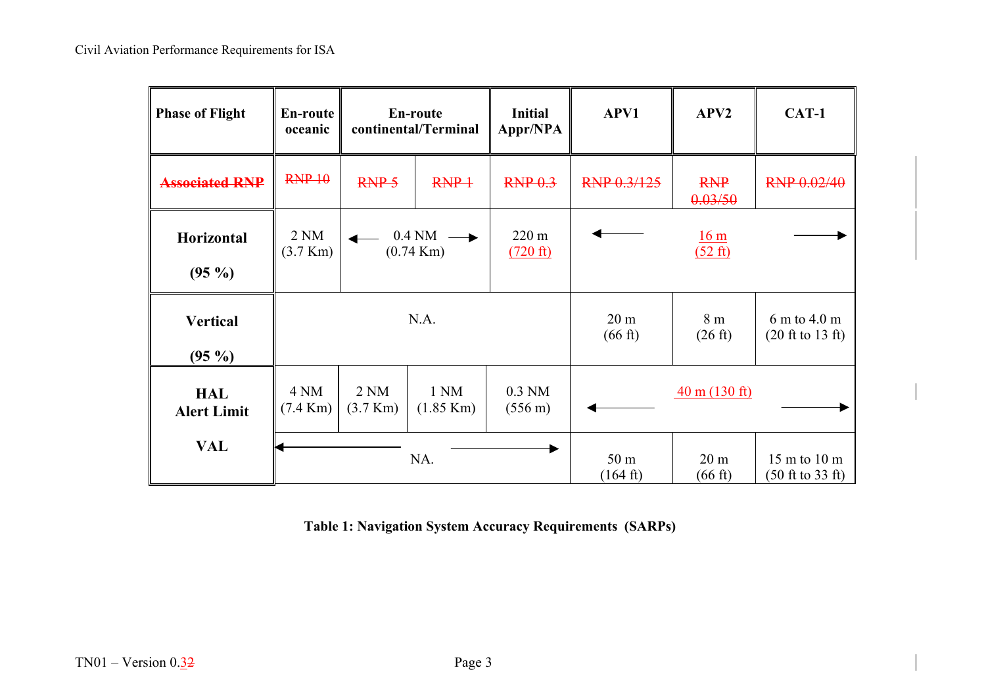| <b>Phase of Flight</b>           | <b>En-route</b><br>oceanic            | En-route<br>continental/Terminal      |                                        | <b>Initial</b><br>Appr/NPA    | APV1                                  | APV <sub>2</sub>                                      | CAT-1                                                                   |
|----------------------------------|---------------------------------------|---------------------------------------|----------------------------------------|-------------------------------|---------------------------------------|-------------------------------------------------------|-------------------------------------------------------------------------|
| <b>Associated RNP</b>            | RNP 10                                | RNP <sub>5</sub>                      | $RNP+$                                 | RNP <sub>0.3</sub>            | RNP 0.3/125                           | <b>RNP</b><br>0.03/50                                 | RNP 0.02/40                                                             |
| Horizontal<br>$(95\%)$           | 2 <sub>NM</sub><br>$(3.7 \text{ Km})$ |                                       | $0.4\text{ NM}$<br>$(0.74 \text{ Km})$ |                               | 16 <sub>m</sub><br>$(52 \text{ ft})$  |                                                       |                                                                         |
| <b>Vertical</b><br>$(95\%)$      | N.A.                                  |                                       |                                        |                               | 20 <sub>m</sub><br>$(66 \text{ ft})$  | 8 m<br>$(26 \text{ ft})$                              | 6 m to 4.0 m<br>$(20 \text{ ft to } 13 \text{ ft})$                     |
| <b>HAL</b><br><b>Alert Limit</b> | 4 NM<br>$(7.4 \text{ Km})$            | 2 <sub>NM</sub><br>$(3.7 \text{ Km})$ | 1 NM<br>$(1.85 \text{ Km})$            | $0.3$ NM<br>$(556 \text{ m})$ |                                       | $\frac{40 \text{ m} (130 \text{ ft})}{20 \text{ ft}}$ |                                                                         |
| <b>VAL</b>                       | NA.                                   |                                       |                                        |                               | 50 <sub>m</sub><br>$(164 \text{ ft})$ | 20 <sub>m</sub><br>$(66 \text{ ft})$                  | $15 \text{ m}$ to $10 \text{ m}$<br>$(50 \text{ ft to } 33 \text{ ft})$ |

**Table 1: Navigation System Accuracy Requirements (SARPs)**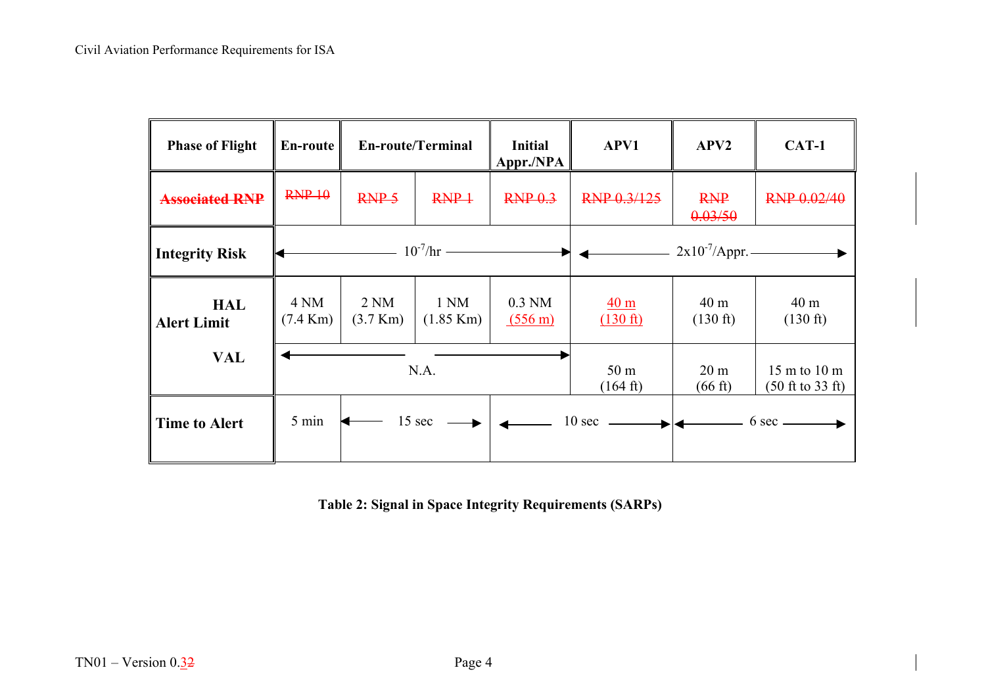| <b>Phase of Flight</b>           | En-route                   | <b>En-route/Terminal</b>              |                             | <b>Initial</b><br>Appr./NPA   | APV1                                  | APV <sub>2</sub>                      | CAT-1                                                                   |  |
|----------------------------------|----------------------------|---------------------------------------|-----------------------------|-------------------------------|---------------------------------------|---------------------------------------|-------------------------------------------------------------------------|--|
| <b>Associated RNP</b>            | RNP 10                     | RNP <sub>5</sub>                      | $RNP+$                      | RNP <sub>0.3</sub>            | RNP 0.3/125                           | <b>RNP</b><br>0.03/50                 | RNP 0.02/40                                                             |  |
| <b>Integrity Risk</b>            |                            | $- 10^{-7}/hr -$                      |                             |                               |                                       | $2x10^{-7}$ /Appr. –<br>▶             |                                                                         |  |
| <b>HAL</b><br><b>Alert Limit</b> | 4 NM<br>$(7.4 \text{ Km})$ | 2 <sub>NM</sub><br>$(3.7 \text{ Km})$ | 1 NM<br>$(1.85 \text{ Km})$ | $0.3$ NM<br>$(556 \text{ m})$ | 40 <sub>m</sub><br>$(130 \text{ ft})$ | 40 <sub>m</sub><br>$(130 \text{ ft})$ | 40 m<br>$(130 \text{ ft})$                                              |  |
| <b>VAL</b>                       |                            | N.A.                                  |                             |                               | 50 <sub>m</sub><br>$(164 \text{ ft})$ | 20 <sub>m</sub><br>$(66 \text{ ft})$  | $15 \text{ m}$ to $10 \text{ m}$<br>$(50 \text{ ft to } 33 \text{ ft})$ |  |
| <b>Time to Alert</b>             | 5 min                      |                                       | 15 sec $\longrightarrow$    |                               | $10 \sec \longrightarrow$             |                                       | $6 \text{ sec}$ $\longrightarrow$                                       |  |

**Table 2: Signal in Space Integrity Requirements (SARPs)**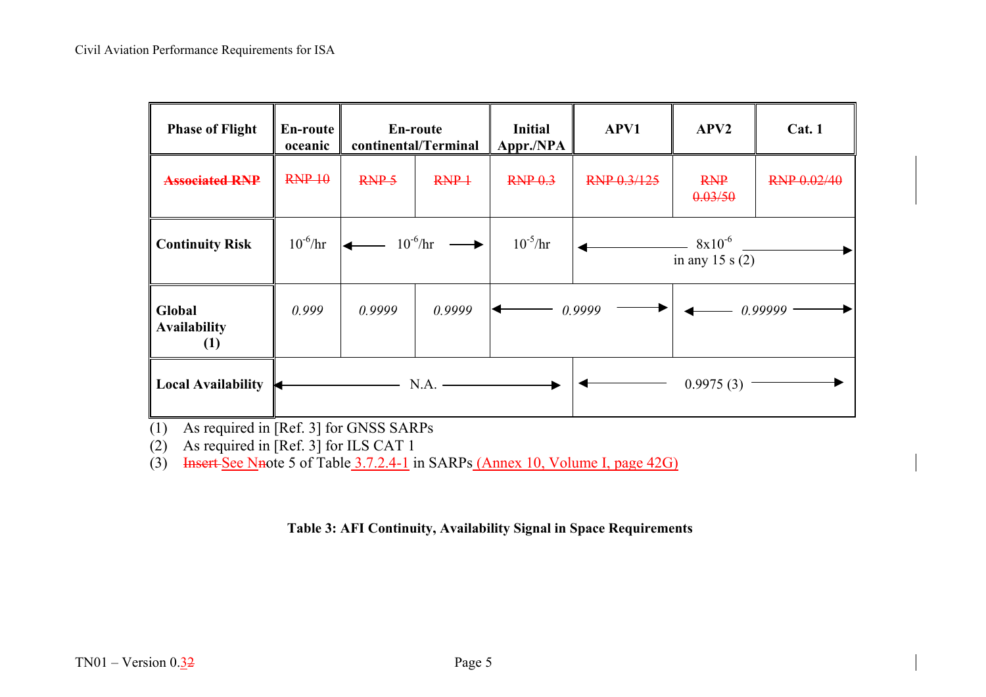| <b>Phase of Flight</b>                            | En-route<br>oceanic | En-route<br>continental/Terminal |                    | <b>Initial</b><br>Appr./NPA | APV1        | APV <sub>2</sub>                  | Cat.1       |
|---------------------------------------------------|---------------------|----------------------------------|--------------------|-----------------------------|-------------|-----------------------------------|-------------|
| <b>Associated RNP</b>                             | RNP 10              | RNP <sub>5</sub>                 | $RNP+$             | RNP <sub>0.3</sub>          | RNP 0.3/125 | <b>RNP</b><br>0.03/50             | RNP 0.02/40 |
| <b>Continuity Risk</b>                            | $10^{-6}$ /hr       |                                  | $- 10^{-6}/hr$ $-$ | $10^{-5}$ /hr               |             | $-8x10^{-6}$<br>in any 15 s $(2)$ |             |
| Global<br><b>Availability</b><br>$\left(1\right)$ | 0.999               | 0.9999                           | 0.9999             |                             | 0.9999      |                                   | 0.99999     |
| <b>Local Availability</b>                         |                     |                                  | N.A.               |                             |             | 0.9975(3)                         |             |

(1) As required in [Ref. 3] for GNSS SARPs

 $(2)$  As required in [Ref. 3] for ILS CAT 1

(3) Insert See Nnote 5 of Table  $3.7.2.4$ -1 in SARPs (Annex 10, Volume I, page 42G)

**Table 3: AFI Continuity, Availability Signal in Space Requirements**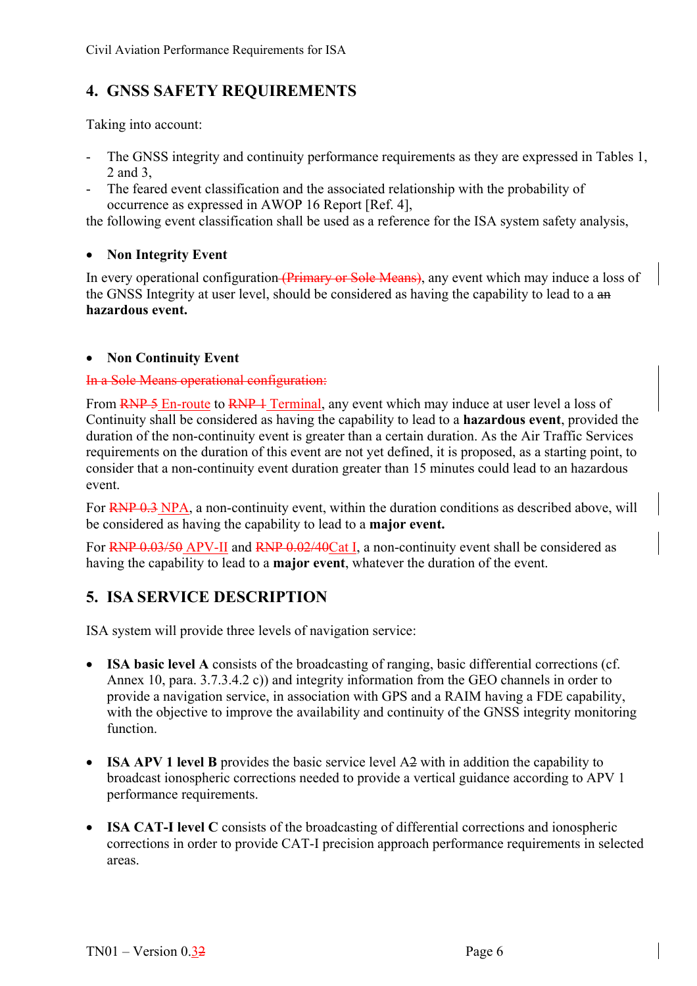# <span id="page-20-0"></span>**4. GNSS SAFETY REQUIREMENTS**

Taking into account:

- The GNSS integrity and continuity performance requirements as they are expressed in Tables 1, 2 and 3,
- The feared event classification and the associated relationship with the probability of occurrence as expressed in AWOP 16 Report [Ref. 4],

the following event classification shall be used as a reference for the ISA system safety analysis,

### • **Non Integrity Event**

In every operational configuration (Primary or Sole Means), any event which may induce a loss of the GNSS Integrity at user level, should be considered as having the capability to lead to a an **hazardous event.** 

#### • **Non Continuity Event**

#### In a Sole Means operational configuration:

From RNP 5 En-route to RNP 4 Terminal, any event which may induce at user level a loss of Continuity shall be considered as having the capability to lead to a **hazardous event**, provided the duration of the non-continuity event is greater than a certain duration. As the Air Traffic Services requirements on the duration of this event are not yet defined, it is proposed, as a starting point, to consider that a non-continuity event duration greater than 15 minutes could lead to an hazardous event.

For **RNP 0.3** NPA, a non-continuity event, within the duration conditions as described above, will be considered as having the capability to lead to a **major event.** 

For RNP 0.03/50 APV-II and RNP 0.02/40Cat I, a non-continuity event shall be considered as having the capability to lead to a **major event**, whatever the duration of the event.

# <span id="page-20-1"></span>**5. ISA SERVICE DESCRIPTION**

ISA system will provide three levels of navigation service:

- **ISA basic level A** consists of the broadcasting of ranging, basic differential corrections (cf. Annex 10, para. 3.7.3.4.2 c)) and integrity information from the GEO channels in order to provide a navigation service, in association with GPS and a RAIM having a FDE capability, with the objective to improve the availability and continuity of the GNSS integrity monitoring function.
- **ISA APV 1 level B** provides the basic service level A2 with in addition the capability to broadcast ionospheric corrections needed to provide a vertical guidance according to APV 1 performance requirements.
- **ISA CAT-I level C** consists of the broadcasting of differential corrections and ionospheric corrections in order to provide CAT-I precision approach performance requirements in selected areas.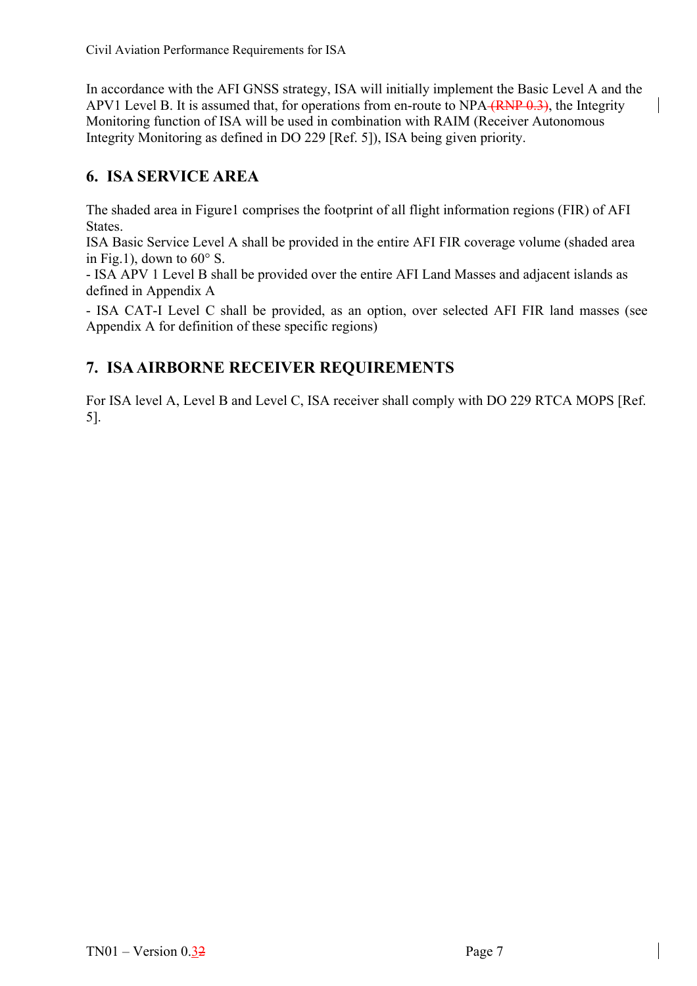In accordance with the AFI GNSS strategy, ISA will initially implement the Basic Level A and the APV1 Level B. It is assumed that, for operations from en-route to  $NPA$  (RNP  $0.3$ ), the Integrity Monitoring function of ISA will be used in combination with RAIM (Receiver Autonomous Integrity Monitoring as defined in DO 229 [Ref. 5]), ISA being given priority.

# **6. ISA SERVICE AREA**

The shaded area in Figure1 comprises the footprint of all flight information regions (FIR) of AFI States.

ISA Basic Service Level A shall be provided in the entire AFI FIR coverage volume (shaded area in Fig.1), down to  $60^{\circ}$  S.

- ISA APV 1 Level B shall be provided over the entire AFI Land Masses and adjacent islands as defined in Appendix A

- ISA CAT-I Level C shall be provided, as an option, over selected AFI FIR land masses (see Appendix A for definition of these specific regions)

# <span id="page-21-0"></span>**7. ISA AIRBORNE RECEIVER REQUIREMENTS**

For ISA level A, Level B and Level C, ISA receiver shall comply with DO 229 RTCA MOPS [Ref. 5].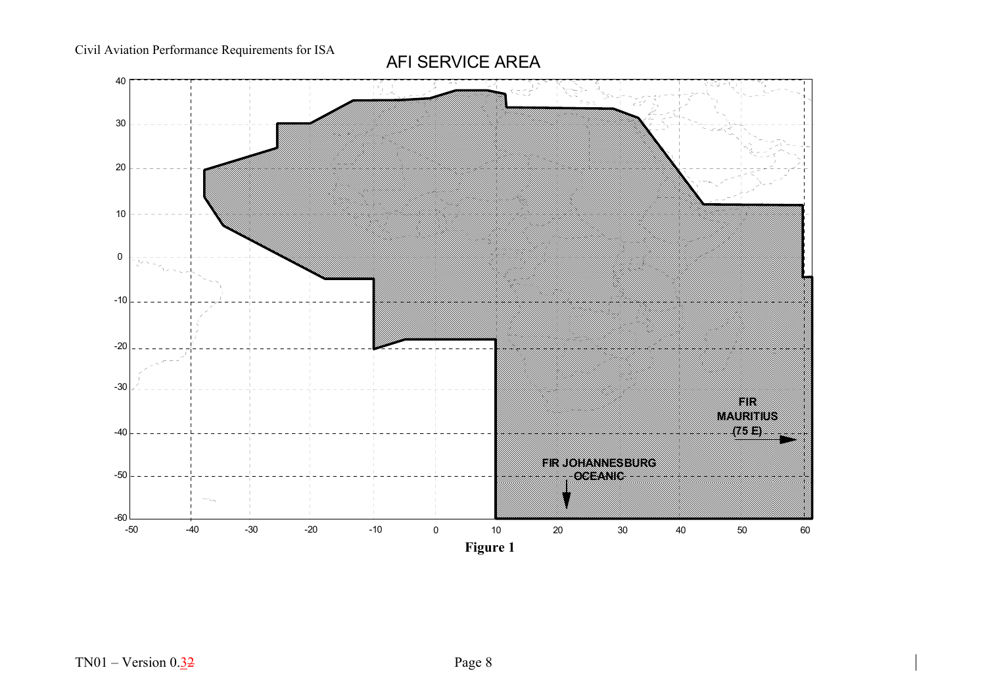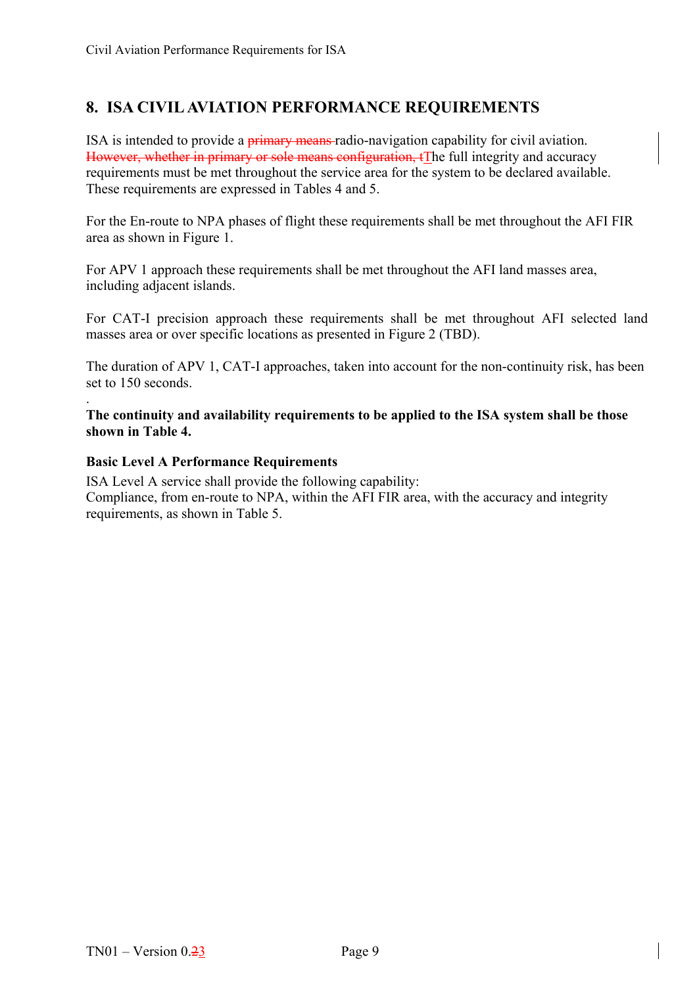# <span id="page-23-0"></span>**8. ISA CIVIL AVIATION PERFORMANCE REQUIREMENTS**

ISA is intended to provide a **primary means** radio-navigation capability for civil aviation. However, whether in primary or sole means configuration, tThe full integrity and accuracy requirements must be met throughout the service area for the system to be declared available. These requirements are expressed in Tables 4 and 5.

For the En-route to NPA phases of flight these requirements shall be met throughout the AFI FIR area as shown in Figure 1.

For APV 1 approach these requirements shall be met throughout the AFI land masses area, including adjacent islands.

For CAT-I precision approach these requirements shall be met throughout AFI selected land masses area or over specific locations as presented in Figure 2 (TBD).

The duration of APV 1, CAT-I approaches, taken into account for the non-continuity risk, has been set to 150 seconds.

. **The continuity and availability requirements to be applied to the ISA system shall be those shown in Table 4.** 

#### <span id="page-23-1"></span>**Basic Level A Performance Requirements**

ISA Level A service shall provide the following capability: Compliance, from en-route to NPA, within the AFI FIR area, with the accuracy and integrity requirements, as shown in Table 5.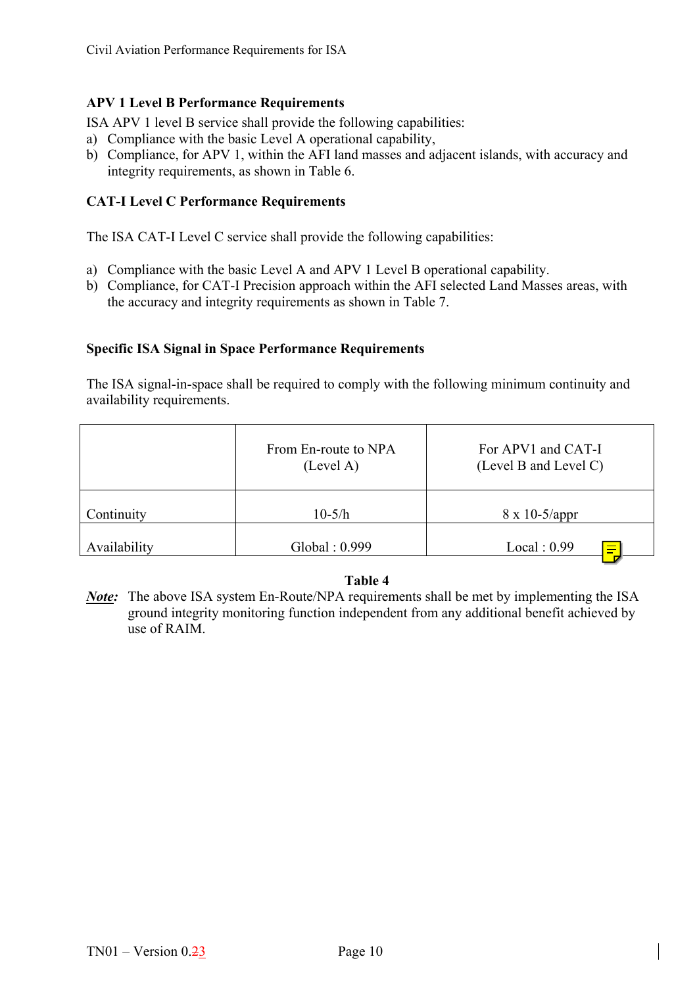#### <span id="page-24-0"></span>**APV 1 Level B Performance Requirements**

ISA APV 1 level B service shall provide the following capabilities:

- a) Compliance with the basic Level A operational capability,
- b) Compliance, for APV 1, within the AFI land masses and adjacent islands, with accuracy and integrity requirements, as shown in Table 6.

### <span id="page-24-1"></span>**CAT-I Level C Performance Requirements**

The ISA CAT-I Level C service shall provide the following capabilities:

- a) Compliance with the basic Level A and APV 1 Level B operational capability.
- b) Compliance, for CAT-I Precision approach within the AFI selected Land Masses areas, with the accuracy and integrity requirements as shown in Table 7.

#### <span id="page-24-2"></span>**Specific ISA Signal in Space Performance Requirements**

The ISA signal-in-space shall be required to comply with the following minimum continuity and availability requirements.

|              | From En-route to NPA<br>(Level A) | For APV1 and CAT-I<br>(Level B and Level C) |
|--------------|-----------------------------------|---------------------------------------------|
| Continuity   | $10-5/h$                          | $8 \times 10 - \frac{5}{\text{appr}}$       |
| Availability | Global: 0.999                     | Local: 0.99<br>$\equiv$<br>-                |

#### **Table 4**

*Note:* The above ISA system En-Route/NPA requirements shall be met by implementing the ISA ground integrity monitoring function independent from any additional benefit achieved by use of RAIM.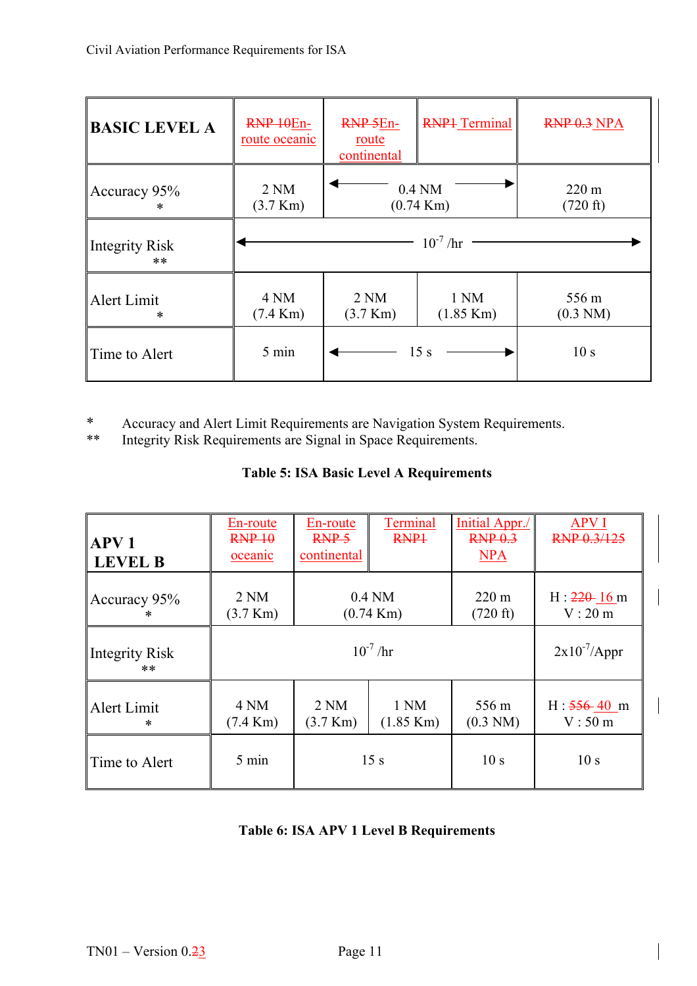| <b>BASIC LEVEL A</b>  | RNP 10En-<br><u>route</u> oceanic     | RNP <sub>5En-</sub><br>route<br>continental | <b>RNP1</b> Terminal            | RNP 0.3 NPA                 |  |
|-----------------------|---------------------------------------|---------------------------------------------|---------------------------------|-----------------------------|--|
| Accuracy 95%<br>∗     | 2 <sub>NM</sub><br>$(3.7 \text{ Km})$ |                                             | $0.4$ NM<br>$(0.74 \text{ Km})$ | $220 \text{ m}$<br>(720 ft) |  |
| Integrity Risk<br>**  | $10^{-7}$ /hr                         |                                             |                                 |                             |  |
| Alert Limit<br>$\ast$ | 4 NM<br>$(7.4 \text{ Km})$            | 2 <sub>NM</sub><br>$(3.7 \text{ Km})$       | 1 NM<br>$(1.85 \text{ Km})$     | 556 m<br>$(0.3 \text{ NM})$ |  |
| Time to Alert         | 5 min                                 |                                             | 15 s                            | 10 <sub>s</sub>             |  |

\* Accuracy and Alert Limit Requirements are Navigation System Requirements.<br>\*\* Integrity Risk Requirements are Signal in Space Requirements

Integrity Risk Requirements are Signal in Space Requirements.

# **Table 5: ISA Basic Level A Requirements**

| APV <sub>1</sub><br><b>LEVEL B</b> | En-route<br>RNP 10<br>oceanic         | En-route<br>RNP <sub>5</sub><br>continental                          | Terminal<br>RNP <sub>1</sub>    | Initial Appr./<br>RNP <sub>0.3</sub><br><b>NPA</b> | <b>APV I</b><br>RNP 0.3/125 |
|------------------------------------|---------------------------------------|----------------------------------------------------------------------|---------------------------------|----------------------------------------------------|-----------------------------|
| Accuracy 95%<br>ж                  | 2 <sub>NM</sub><br>$(3.7 \text{ Km})$ |                                                                      | $0.4$ NM<br>$(0.74 \text{ Km})$ | $220 \text{ m}$<br>(720 ft)                        | $H: 220 - 16$ m<br>V: 20 m  |
| <b>Integrity Risk</b><br>**        |                                       | $2x10^{-7}$ /Appr                                                    |                                 |                                                    |                             |
| Alert Limit<br>$\ast$              | 4 NM<br>$(7.4 \text{ Km})$            | 2 <sub>NM</sub><br>1 NM<br>$(3.7 \text{ Km})$<br>$(1.85 \text{ Km})$ |                                 | 556 m<br>$(0.3 \text{ NM})$                        | $H: 556 - 40$ m<br>V:50 m   |
| Time to Alert                      | 5 min                                 | 15s                                                                  |                                 | 10 <sub>s</sub>                                    | 10 <sub>s</sub>             |

## **Table 6: ISA APV 1 Level B Requirements**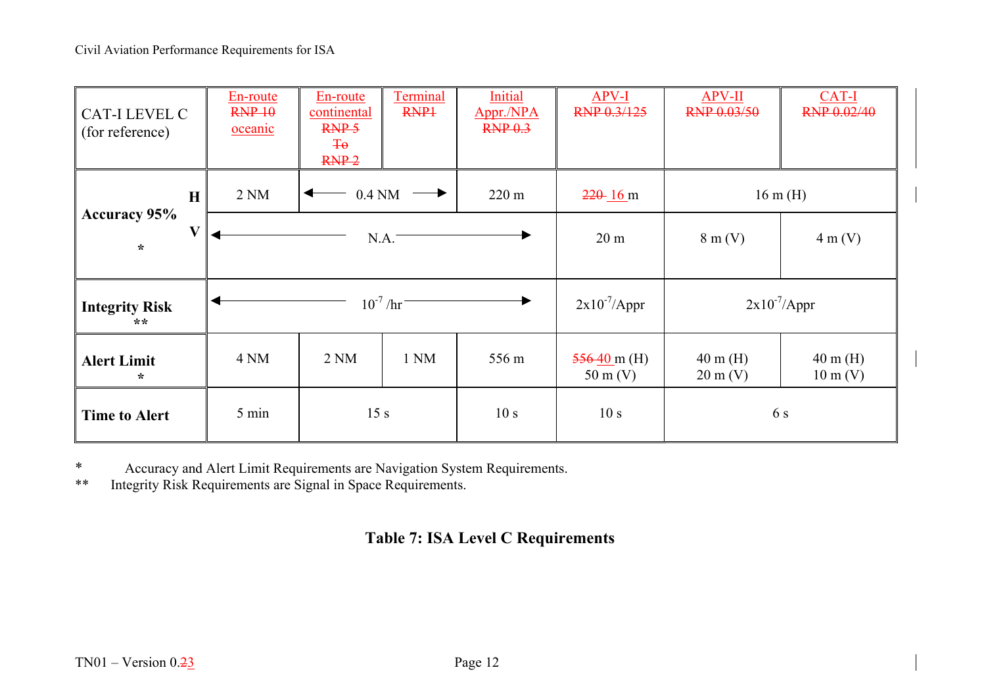| <b>CAT-I LEVEL C</b><br>(for reference) | En-route<br>RNP 10<br>oceanic | En-route<br>continental<br>RNP <sub>5</sub><br>$\overline{40}$<br>$RNP-2$ | <b>Terminal</b><br>RNP <sub>1</sub> | Initial<br>Appr./NPA<br>RNP <sub>0.3</sub> | APV-I<br>RNP 0.3/125                         | <b>APV-II</b><br>RNP 0.03/50             | CAT-I<br><b>RNP 0.02/40</b>              |
|-----------------------------------------|-------------------------------|---------------------------------------------------------------------------|-------------------------------------|--------------------------------------------|----------------------------------------------|------------------------------------------|------------------------------------------|
| $\mathbf H$                             | 2NM                           | $0.4$ NM                                                                  |                                     | $220 \text{ m}$                            | $220 - 16$ m                                 |                                          | $16 \text{ m}$ (H)                       |
| <b>Accuracy 95%</b><br>V<br>$\star$     |                               |                                                                           | N.A.                                |                                            | 20 <sub>m</sub>                              | $8 \text{ m}$ (V)                        | $4 \text{ m}$ (V)                        |
| <b>Integrity Risk</b><br>$***$          |                               |                                                                           | $10^{-7}$ /hr <sup>-1</sup>         |                                            | $2x10^{-7}$ /Appr                            |                                          | $2x10^{-7}$ /Appr                        |
| <b>Alert Limit</b><br>$\ast$            | 4 NM                          | 2 <sub>NM</sub>                                                           | 1 NM                                | 556 m                                      | $\frac{556}{40}$ m (H)<br>$50 \text{ m}$ (V) | $40 \text{ m}$ (H)<br>$20 \text{ m}$ (V) | $40 \text{ m}$ (H)<br>$10 \text{ m}$ (V) |
| <b>Time to Alert</b>                    | 5 min                         | 15 <sub>s</sub>                                                           |                                     | 10 <sub>s</sub>                            | 10 <sub>s</sub>                              |                                          | 6 s                                      |

\* Accuracy and Alert Limit Requirements are Navigation System Requirements.<br>\*\* Integrity Risk Requirements are Signal in Space Requirements

Integrity Risk Requirements are Signal in Space Requirements.

# **Table 7: ISA Level C Requirements**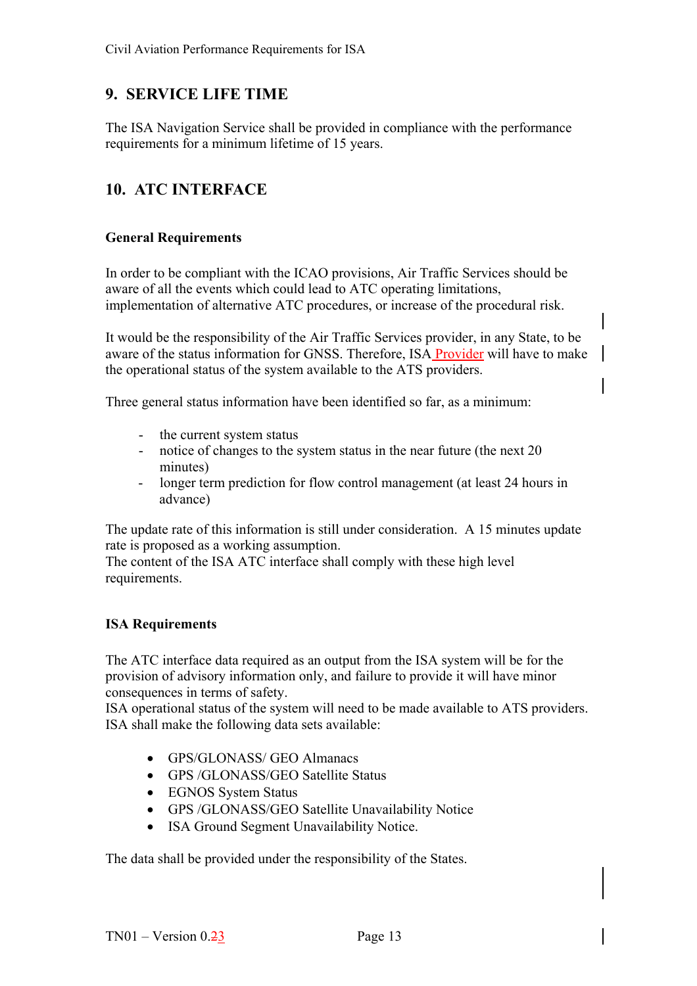# <span id="page-27-0"></span>**9. SERVICE LIFE TIME**

The ISA Navigation Service shall be provided in compliance with the performance requirements for a minimum lifetime of 15 years.

# <span id="page-27-1"></span>**10. ATC INTERFACE**

#### <span id="page-27-2"></span>**General Requirements**

In order to be compliant with the ICAO provisions, Air Traffic Services should be aware of all the events which could lead to ATC operating limitations, implementation of alternative ATC procedures, or increase of the procedural risk.

It would be the responsibility of the Air Traffic Services provider, in any State, to be aware of the status information for GNSS. Therefore, ISA Provider will have to make the operational status of the system available to the ATS providers.

Three general status information have been identified so far, as a minimum:

- the current system status
- notice of changes to the system status in the near future (the next 20 minutes)
- longer term prediction for flow control management (at least 24 hours in advance)

The update rate of this information is still under consideration. A 15 minutes update rate is proposed as a working assumption.

The content of the ISA ATC interface shall comply with these high level requirements.

#### <span id="page-27-3"></span>**ISA Requirements**

The ATC interface data required as an output from the ISA system will be for the provision of advisory information only, and failure to provide it will have minor consequences in terms of safety.

ISA operational status of the system will need to be made available to ATS providers. ISA shall make the following data sets available:

- GPS/GLONASS/ GEO Almanacs
- GPS /GLONASS/GEO Satellite Status
- EGNOS System Status
- GPS /GLONASS/GEO Satellite Unavailability Notice
- ISA Ground Segment Unavailability Notice.

The data shall be provided under the responsibility of the States.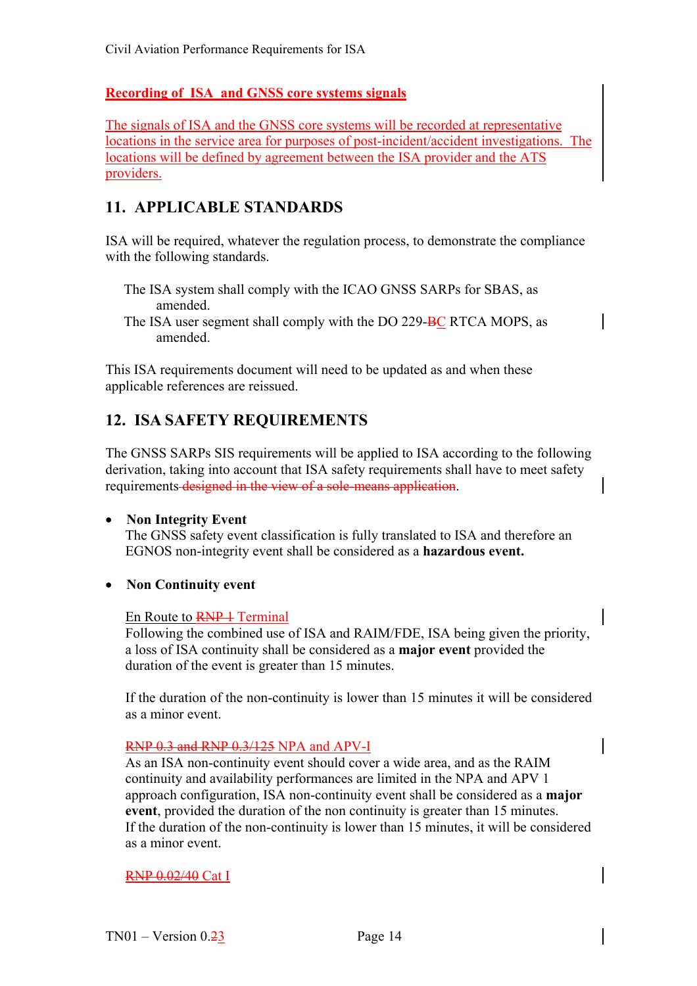### **Recording of ISA and GNSS core systems signals**

The signals of ISA and the GNSS core systems will be recorded at representative locations in the service area for purposes of post-incident/accident investigations. The locations will be defined by agreement between the ISA provider and the ATS providers.

# <span id="page-28-0"></span>**11. APPLICABLE STANDARDS**

ISA will be required, whatever the regulation process, to demonstrate the compliance with the following standards.

 The ISA system shall comply with the ICAO GNSS SARPs for SBAS, as amended.

The ISA user segment shall comply with the DO 229-BC RTCA MOPS, as amended.

This ISA requirements document will need to be updated as and when these applicable references are reissued.

# <span id="page-28-1"></span>**12. ISA SAFETY REQUIREMENTS**

The GNSS SARPs SIS requirements will be applied to ISA according to the following derivation, taking into account that ISA safety requirements shall have to meet safety requirements designed in the view of a sole-means application.

#### • **Non Integrity Event**

The GNSS safety event classification is fully translated to ISA and therefore an EGNOS non-integrity event shall be considered as a **hazardous event.** 

• **Non Continuity event** 

#### En Route to **RNP** 1 Terminal

Following the combined use of ISA and RAIM/FDE, ISA being given the priority, a loss of ISA continuity shall be considered as a **major event** provided the duration of the event is greater than 15 minutes.

If the duration of the non-continuity is lower than 15 minutes it will be considered as a minor event.

#### RNP 0.3 and RNP 0.3/125 NPA and APV-I

As an ISA non-continuity event should cover a wide area, and as the RAIM continuity and availability performances are limited in the NPA and APV 1 approach configuration, ISA non-continuity event shall be considered as a **major event**, provided the duration of the non continuity is greater than 15 minutes. If the duration of the non-continuity is lower than 15 minutes, it will be considered as a minor event.

#### RNP 0.02/40 Cat I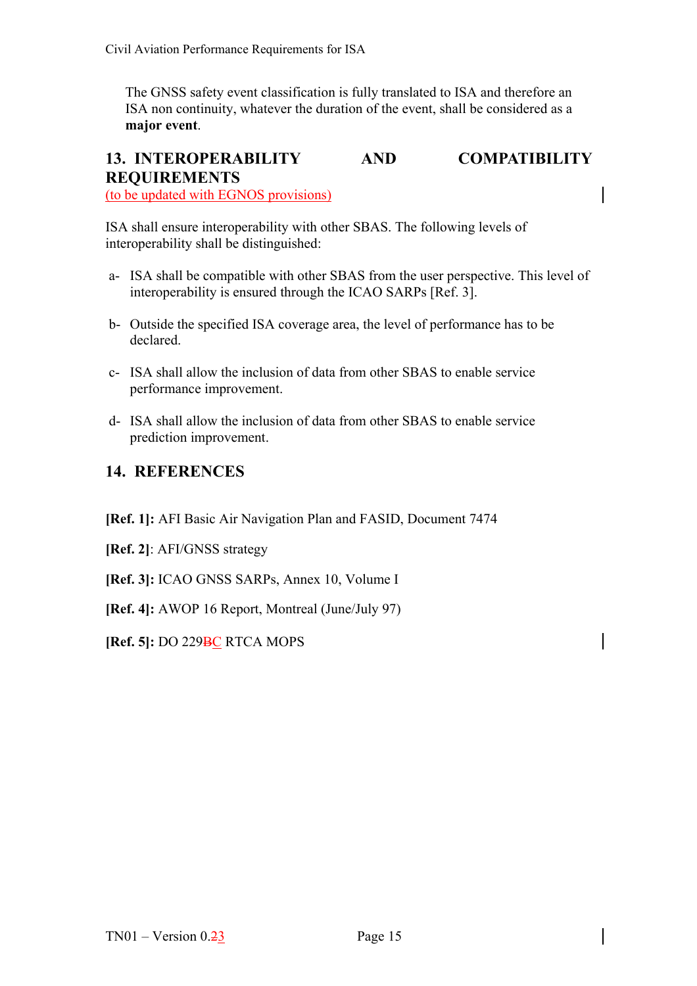The GNSS safety event classification is fully translated to ISA and therefore an ISA non continuity, whatever the duration of the event, shall be considered as a **major event**.

# <span id="page-29-0"></span>**13. INTEROPERABILITY AND COMPATIBILITY REQUIREMENTS**

(to be updated with EGNOS provisions)

ISA shall ensure interoperability with other SBAS. The following levels of interoperability shall be distinguished:

- a- ISA shall be compatible with other SBAS from the user perspective. This level of interoperability is ensured through the ICAO SARPs [Ref. 3].
- b- Outside the specified ISA coverage area, the level of performance has to be declared.
- c- ISA shall allow the inclusion of data from other SBAS to enable service performance improvement.
- d- ISA shall allow the inclusion of data from other SBAS to enable service prediction improvement.

## **14. REFERENCES**

- **[Ref. 1]:** AFI Basic Air Navigation Plan and FASID, Document 7474
- **[Ref. 2]**: AFI/GNSS strategy
- **[Ref. 3]:** ICAO GNSS SARPs, Annex 10, Volume I
- **[Ref. 4]:** AWOP 16 Report, Montreal (June/July 97)
- **[Ref. 5]:** DO 229BC RTCA MOPS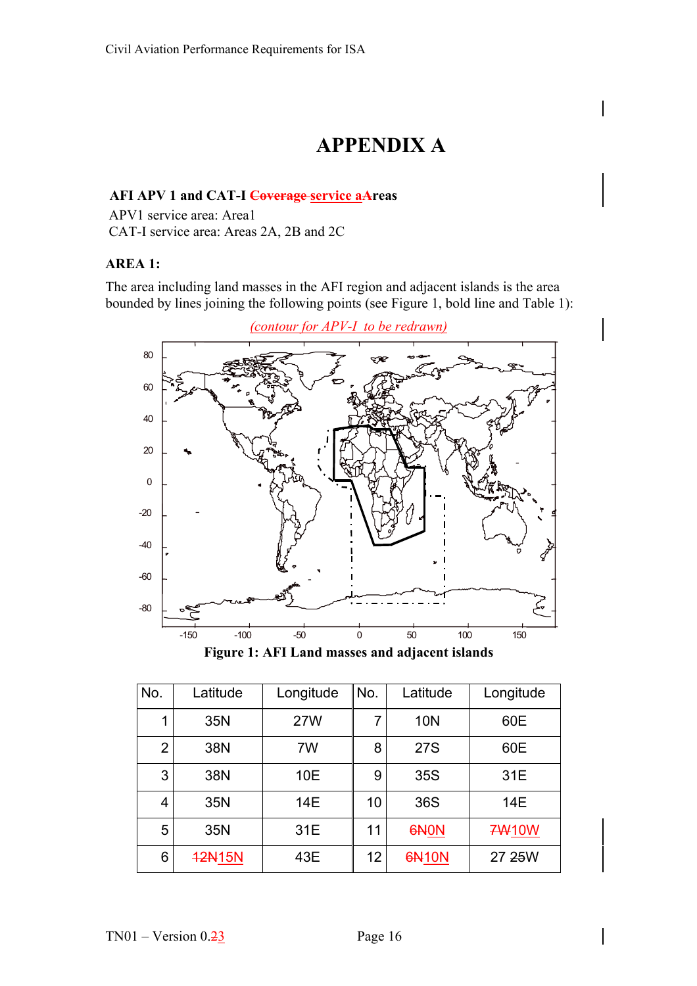# **APPENDIX A**

#### **AFI APV 1 and CAT-I Coverage service aAreas**

 APV1 service area: Area1 CAT-I service area: Areas 2A, 2B and 2C

#### **AREA 1:**

The area including land masses in the AFI region and adjacent islands is the area bounded by lines joining the following points (see Figure 1, bold line and Table 1):



**Figure 1: AFI Land masses and adjacent islands** 

| No.            | Latitude      | Longitude  | No. | Latitude         | Longitude    |
|----------------|---------------|------------|-----|------------------|--------------|
| 1              | 35N           | <b>27W</b> | 7   | <b>10N</b>       | 60E          |
| $\overline{2}$ | 38N           | 7W         | 8   | <b>27S</b>       | 60E          |
| 3              | 38N           | 10E        | 9   | 35S              | 31E          |
| 4              | 35N           | 14E        | 10  | 36S              | 14E          |
| 5              | 35N           | 31E        | 11  | 6N <sub>ON</sub> | <b>7W10W</b> |
| 6              | <b>42N15N</b> | 43E        | 12  | <b>6N10N</b>     | 27 25 W      |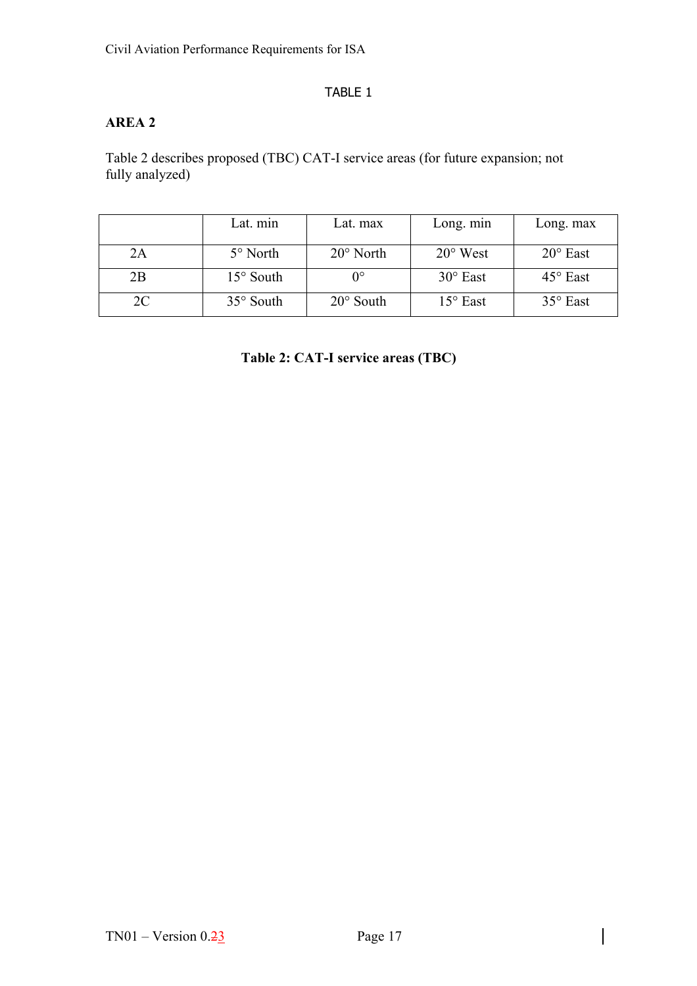#### TABLE 1

### <span id="page-31-0"></span>**AREA 2**

Table 2 describes proposed (TBC) CAT-I service areas (for future expansion; not fully analyzed)

|    | Lat. min           | Lat. max           | Long. min         | Long. max         |
|----|--------------------|--------------------|-------------------|-------------------|
| 2A | $5^\circ$ North    | $20^{\circ}$ North | $20^{\circ}$ West | $20^{\circ}$ East |
| 2B | $15^{\circ}$ South |                    | $30^\circ$ East   | $45^\circ$ East   |
| 2C | $35^\circ$ South   | $20^\circ$ South   | $15^{\circ}$ East | $35^\circ$ East   |

**Table 2: CAT-I service areas (TBC)**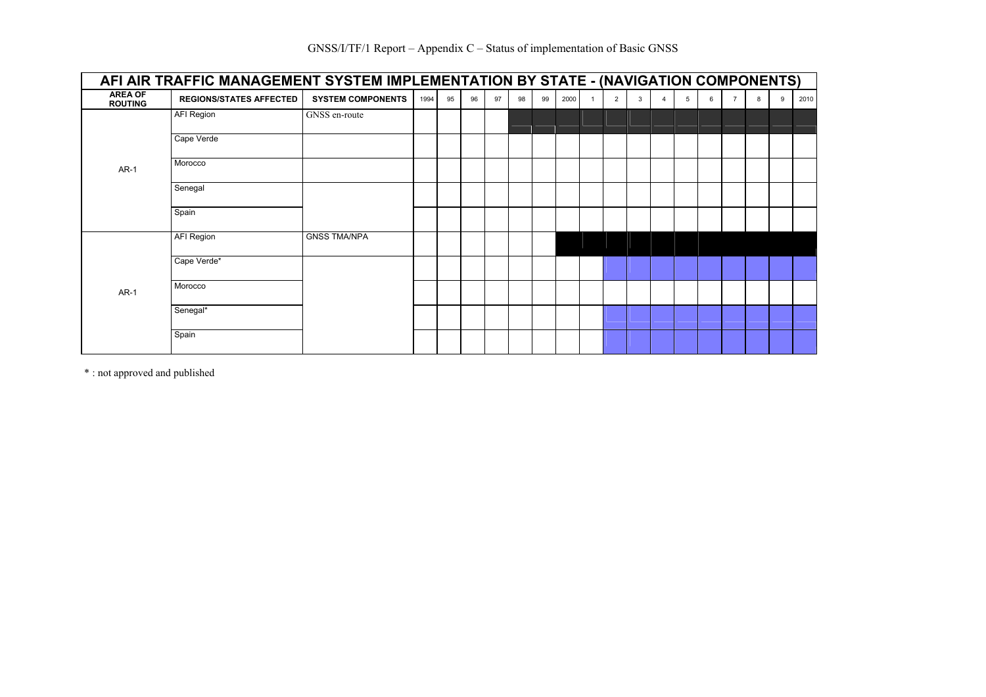|                                  | AFI AIR TRAFFIC MANAGEMENT SYSTEM IMPLEMENTATION BY STATE - (NAVIGATION COMPONENTS) |                          |      |    |    |    |    |    |      |                |   |   |   |                |   |   |      |
|----------------------------------|-------------------------------------------------------------------------------------|--------------------------|------|----|----|----|----|----|------|----------------|---|---|---|----------------|---|---|------|
| <b>AREA OF</b><br><b>ROUTING</b> | <b>REGIONS/STATES AFFECTED</b>                                                      | <b>SYSTEM COMPONENTS</b> | 1994 | 95 | 96 | 97 | 98 | 99 | 2000 | $\overline{2}$ | 3 | 5 | 6 | $\overline{7}$ | 8 | 9 | 2010 |
|                                  | <b>AFI Region</b>                                                                   | GNSS en-route            |      |    |    |    |    |    |      |                |   |   |   |                |   |   |      |
|                                  | Cape Verde                                                                          |                          |      |    |    |    |    |    |      |                |   |   |   |                |   |   |      |
| <b>AR-1</b>                      | Morocco                                                                             |                          |      |    |    |    |    |    |      |                |   |   |   |                |   |   |      |
|                                  | Senegal                                                                             |                          |      |    |    |    |    |    |      |                |   |   |   |                |   |   |      |
|                                  | Spain                                                                               |                          |      |    |    |    |    |    |      |                |   |   |   |                |   |   |      |
|                                  | <b>AFI Region</b>                                                                   | <b>GNSS TMA/NPA</b>      |      |    |    |    |    |    |      |                |   |   |   |                |   |   |      |
|                                  | Cape Verde*                                                                         |                          |      |    |    |    |    |    |      |                |   |   |   |                |   |   |      |
| $AR-1$                           | Morocco                                                                             |                          |      |    |    |    |    |    |      |                |   |   |   |                |   |   |      |
|                                  | Senegal*                                                                            |                          |      |    |    |    |    |    |      |                |   |   |   |                |   |   |      |
|                                  | Spain                                                                               |                          |      |    |    |    |    |    |      |                |   |   |   |                |   |   |      |

\* : not approved and published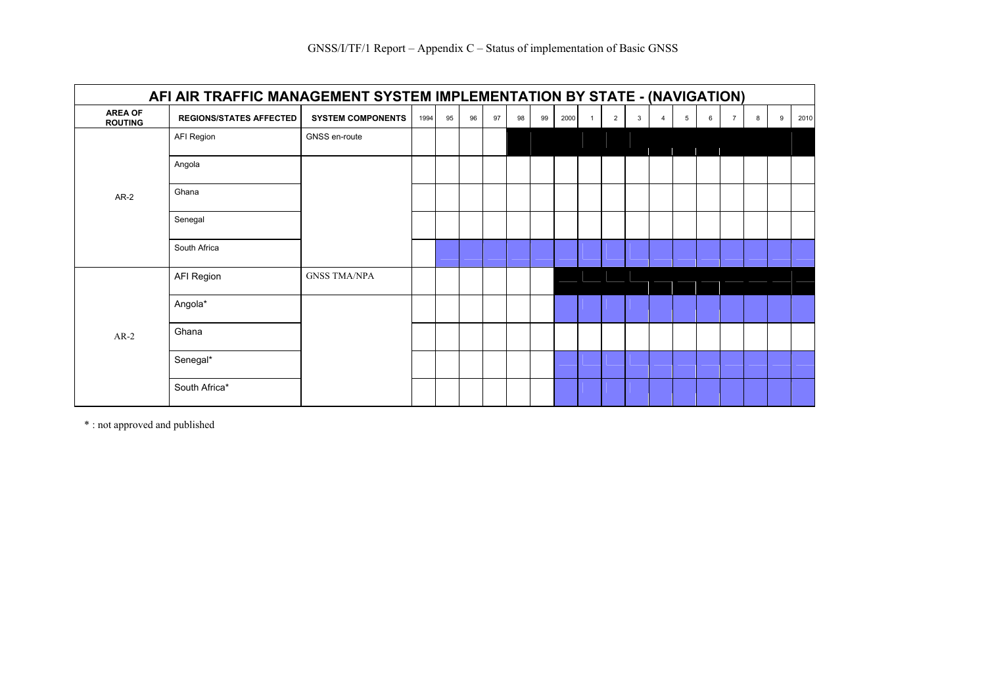|                                  | AFI AIR TRAFFIC MANAGEMENT SYSTEM IMPLEMENTATION BY STATE - (NAVIGATION) |                          |      |    |    |    |    |    |      |                |   |                |   |   |   |   |      |
|----------------------------------|--------------------------------------------------------------------------|--------------------------|------|----|----|----|----|----|------|----------------|---|----------------|---|---|---|---|------|
| <b>AREA OF</b><br><b>ROUTING</b> | <b>REGIONS/STATES AFFECTED</b>                                           | <b>SYSTEM COMPONENTS</b> | 1994 | 95 | 96 | 97 | 98 | 99 | 2000 | $\overline{2}$ | 3 | $\overline{4}$ | 5 | 6 | 8 | 9 | 2010 |
|                                  | AFI Region                                                               | GNSS en-route            |      |    |    |    |    |    |      |                |   |                |   |   |   |   |      |
|                                  | Angola                                                                   |                          |      |    |    |    |    |    |      |                |   |                |   |   |   |   |      |
| $AR-2$                           | Ghana                                                                    |                          |      |    |    |    |    |    |      |                |   |                |   |   |   |   |      |
|                                  | Senegal                                                                  |                          |      |    |    |    |    |    |      |                |   |                |   |   |   |   |      |
|                                  | South Africa                                                             |                          |      |    |    |    |    |    |      |                |   |                |   |   |   |   |      |
|                                  | AFI Region                                                               | <b>GNSS TMA/NPA</b>      |      |    |    |    |    |    |      |                |   |                |   |   |   |   |      |
|                                  | Angola*                                                                  |                          |      |    |    |    |    |    |      |                |   |                |   |   |   |   |      |
| $AR-2$                           | Ghana                                                                    |                          |      |    |    |    |    |    |      |                |   |                |   |   |   |   |      |
|                                  | Senegal*                                                                 |                          |      |    |    |    |    |    |      |                |   |                |   |   |   |   |      |
|                                  | South Africa*                                                            |                          |      |    |    |    |    |    |      |                |   |                |   |   |   |   |      |

\* : not approved and published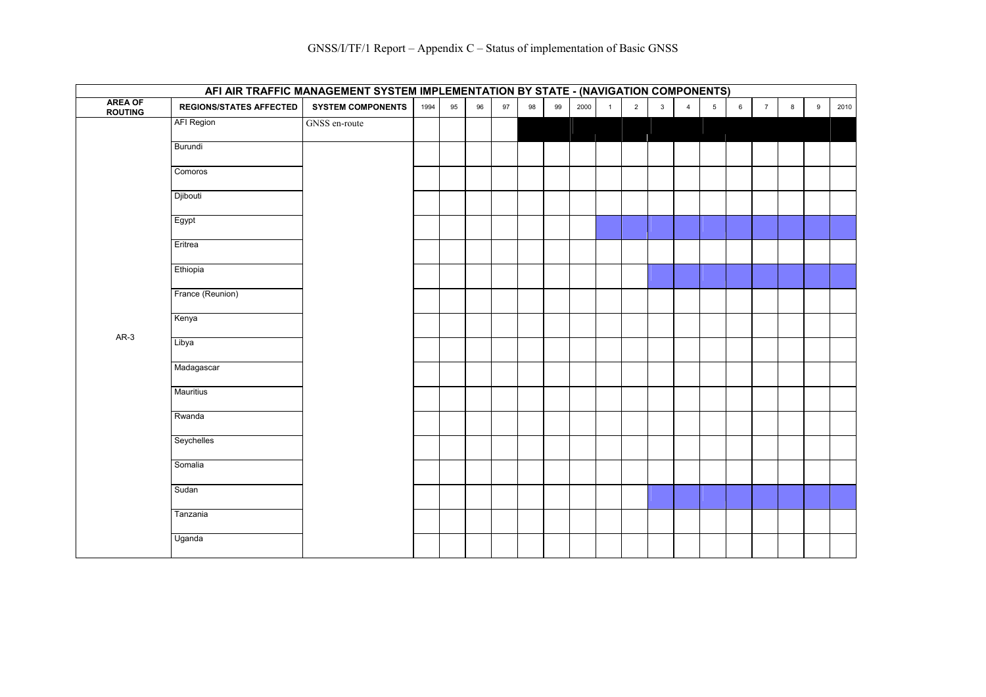|                    |                                | AFI AIR TRAFFIC MANAGEMENT SYSTEM IMPLEMENTATION BY STATE - (NAVIGATION COMPONENTS) |      |    |    |    |    |    |      |              |                |              |                |                 |   |                |   |   |      |
|--------------------|--------------------------------|-------------------------------------------------------------------------------------|------|----|----|----|----|----|------|--------------|----------------|--------------|----------------|-----------------|---|----------------|---|---|------|
| AREA OF<br>ROUTING | <b>REGIONS/STATES AFFECTED</b> | <b>SYSTEM COMPONENTS</b>                                                            | 1994 | 95 | 96 | 97 | 98 | 99 | 2000 | $\mathbf{1}$ | $\overline{2}$ | $\mathbf{3}$ | $\overline{4}$ | $5\overline{)}$ | 6 | $\overline{7}$ | 8 | 9 | 2010 |
|                    | <b>AFI Region</b>              | GNSS en-route                                                                       |      |    |    |    |    |    |      |              |                |              |                |                 |   |                |   |   |      |
|                    | Burundi                        |                                                                                     |      |    |    |    |    |    |      |              |                |              |                |                 |   |                |   |   |      |
|                    | Comoros                        |                                                                                     |      |    |    |    |    |    |      |              |                |              |                |                 |   |                |   |   |      |
|                    | Djibouti                       |                                                                                     |      |    |    |    |    |    |      |              |                |              |                |                 |   |                |   |   |      |
|                    | Egypt                          |                                                                                     |      |    |    |    |    |    |      |              |                |              |                |                 |   |                |   |   |      |
|                    | Eritrea                        |                                                                                     |      |    |    |    |    |    |      |              |                |              |                |                 |   |                |   |   |      |
|                    | Ethiopia                       |                                                                                     |      |    |    |    |    |    |      |              |                |              |                |                 |   |                |   |   |      |
|                    | France (Reunion)               |                                                                                     |      |    |    |    |    |    |      |              |                |              |                |                 |   |                |   |   |      |
|                    | Kenya                          |                                                                                     |      |    |    |    |    |    |      |              |                |              |                |                 |   |                |   |   |      |
| $AR-3$             | Libya                          |                                                                                     |      |    |    |    |    |    |      |              |                |              |                |                 |   |                |   |   |      |
|                    | Madagascar                     |                                                                                     |      |    |    |    |    |    |      |              |                |              |                |                 |   |                |   |   |      |
|                    | <b>Mauritius</b>               |                                                                                     |      |    |    |    |    |    |      |              |                |              |                |                 |   |                |   |   |      |
|                    | Rwanda                         |                                                                                     |      |    |    |    |    |    |      |              |                |              |                |                 |   |                |   |   |      |
|                    | Seychelles                     |                                                                                     |      |    |    |    |    |    |      |              |                |              |                |                 |   |                |   |   |      |
|                    | Somalia                        |                                                                                     |      |    |    |    |    |    |      |              |                |              |                |                 |   |                |   |   |      |
|                    | Sudan                          |                                                                                     |      |    |    |    |    |    |      |              |                |              |                |                 |   |                |   |   |      |
|                    | Tanzania                       |                                                                                     |      |    |    |    |    |    |      |              |                |              |                |                 |   |                |   |   |      |
|                    | Uganda                         |                                                                                     |      |    |    |    |    |    |      |              |                |              |                |                 |   |                |   |   |      |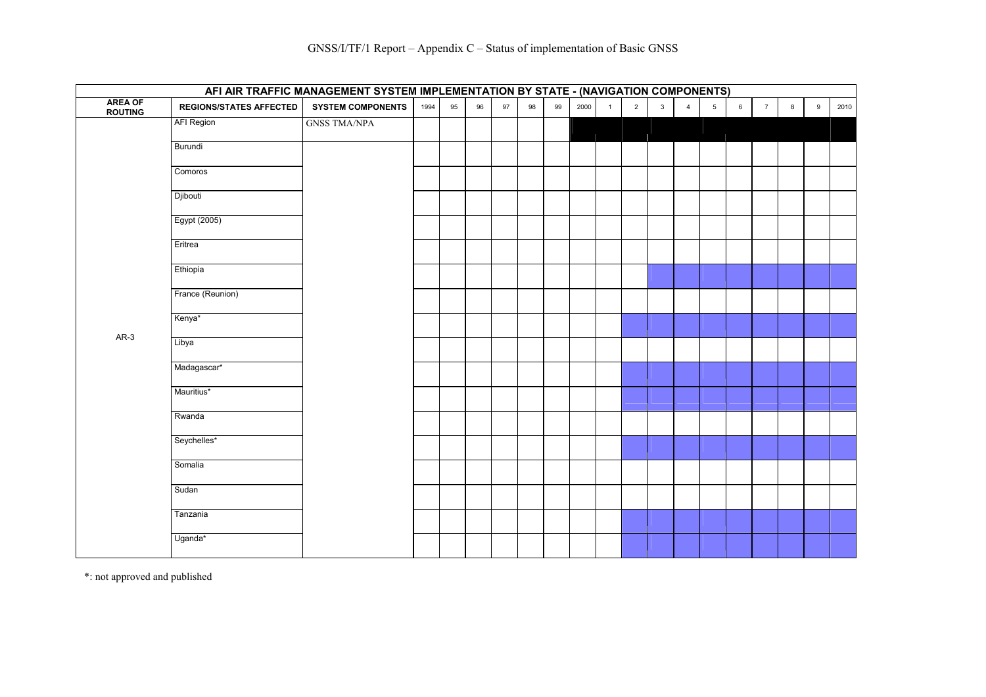|                            |                                | AFI AIR TRAFFIC MANAGEMENT SYSTEM IMPLEMENTATION BY STATE - (NAVIGATION COMPONENTS) |      |    |    |    |    |    |      |              |                |                |                |                 |                 |                 |   |   |      |
|----------------------------|--------------------------------|-------------------------------------------------------------------------------------|------|----|----|----|----|----|------|--------------|----------------|----------------|----------------|-----------------|-----------------|-----------------|---|---|------|
| <b>AREA OF<br/>ROUTING</b> | <b>REGIONS/STATES AFFECTED</b> | <b>SYSTEM COMPONENTS</b>                                                            | 1994 | 95 | 96 | 97 | 98 | 99 | 2000 | $\mathbf{1}$ | $\overline{2}$ | $\overline{3}$ | $\overline{4}$ | $5\phantom{.0}$ | $6\overline{6}$ | $7\overline{ }$ | 8 | 9 | 2010 |
|                            | <b>AFI Region</b>              | <b>GNSS TMA/NPA</b>                                                                 |      |    |    |    |    |    |      |              |                |                |                |                 |                 |                 |   |   |      |
|                            | Burundi                        |                                                                                     |      |    |    |    |    |    |      |              |                |                |                |                 |                 |                 |   |   |      |
|                            | Comoros                        |                                                                                     |      |    |    |    |    |    |      |              |                |                |                |                 |                 |                 |   |   |      |
|                            | Djibouti                       |                                                                                     |      |    |    |    |    |    |      |              |                |                |                |                 |                 |                 |   |   |      |
|                            | Egypt (2005)                   |                                                                                     |      |    |    |    |    |    |      |              |                |                |                |                 |                 |                 |   |   |      |
|                            | Eritrea                        |                                                                                     |      |    |    |    |    |    |      |              |                |                |                |                 |                 |                 |   |   |      |
|                            | Ethiopia                       |                                                                                     |      |    |    |    |    |    |      |              |                |                |                |                 |                 |                 |   |   |      |
|                            | France (Reunion)               |                                                                                     |      |    |    |    |    |    |      |              |                |                |                |                 |                 |                 |   |   |      |
| $AR-3$                     | Kenya*                         |                                                                                     |      |    |    |    |    |    |      |              |                |                |                |                 |                 |                 |   |   |      |
|                            | Libya                          |                                                                                     |      |    |    |    |    |    |      |              |                |                |                |                 |                 |                 |   |   |      |
|                            | Madagascar*                    |                                                                                     |      |    |    |    |    |    |      |              |                |                |                |                 |                 |                 |   |   |      |
|                            | Mauritius*                     |                                                                                     |      |    |    |    |    |    |      |              |                |                |                |                 |                 |                 |   |   |      |
|                            | Rwanda                         |                                                                                     |      |    |    |    |    |    |      |              |                |                |                |                 |                 |                 |   |   |      |
|                            | Seychelles*                    |                                                                                     |      |    |    |    |    |    |      |              |                |                |                |                 |                 |                 |   |   |      |
|                            | Somalia                        |                                                                                     |      |    |    |    |    |    |      |              |                |                |                |                 |                 |                 |   |   |      |
|                            | Sudan                          |                                                                                     |      |    |    |    |    |    |      |              |                |                |                |                 |                 |                 |   |   |      |
|                            | Tanzania                       |                                                                                     |      |    |    |    |    |    |      |              |                |                |                |                 |                 |                 |   |   |      |
|                            | Uganda*                        |                                                                                     |      |    |    |    |    |    |      |              |                |                |                |                 |                 |                 |   |   |      |

\*: not approved and published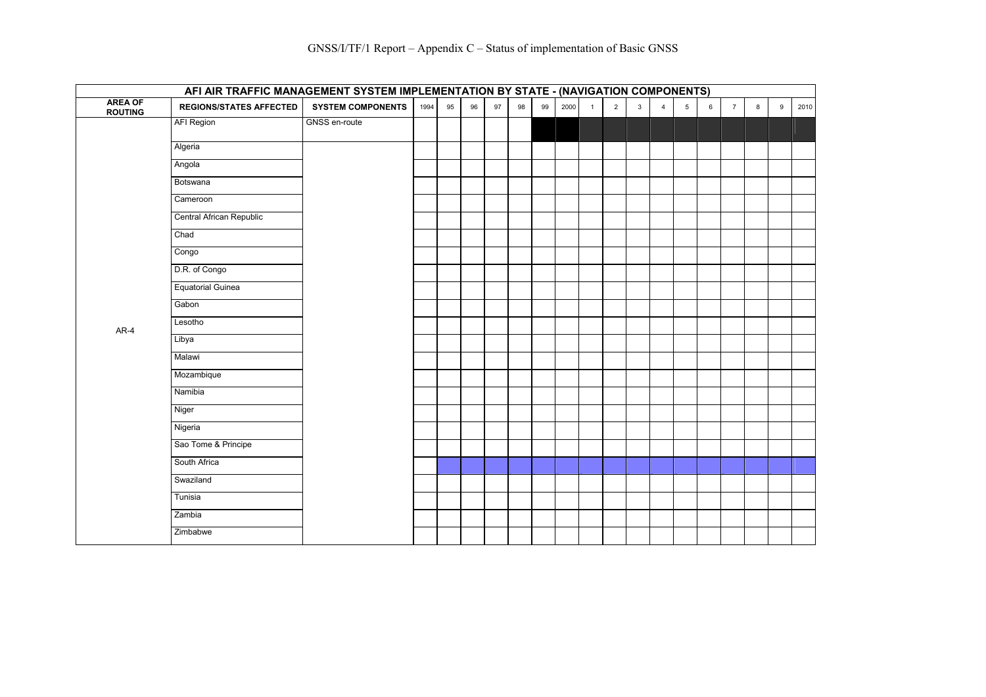|                                  | AFI AIR TRAFFIC MANAGEMENT SYSTEM IMPLEMENTATION BY STATE - (NAVIGATION COMPONENTS) |                          |      |    |    |    |    |    |      |                |                |              |                |   |   |                |   |   |      |
|----------------------------------|-------------------------------------------------------------------------------------|--------------------------|------|----|----|----|----|----|------|----------------|----------------|--------------|----------------|---|---|----------------|---|---|------|
| <b>AREA OF</b><br><b>ROUTING</b> | <b>REGIONS/STATES AFFECTED</b>                                                      | <b>SYSTEM COMPONENTS</b> | 1994 | 95 | 96 | 97 | 98 | 99 | 2000 | $\overline{1}$ | $\overline{2}$ | $\mathbf{3}$ | $\overline{4}$ | 5 | 6 | $\overline{7}$ | 8 | 9 | 2010 |
|                                  | <b>AFI Region</b>                                                                   | GNSS en-route            |      |    |    |    |    |    |      |                |                |              |                |   |   |                |   |   |      |
|                                  | Algeria                                                                             |                          |      |    |    |    |    |    |      |                |                |              |                |   |   |                |   |   |      |
|                                  | Angola                                                                              |                          |      |    |    |    |    |    |      |                |                |              |                |   |   |                |   |   |      |
|                                  | Botswana                                                                            |                          |      |    |    |    |    |    |      |                |                |              |                |   |   |                |   |   |      |
|                                  | Cameroon                                                                            |                          |      |    |    |    |    |    |      |                |                |              |                |   |   |                |   |   |      |
|                                  | Central African Republic                                                            |                          |      |    |    |    |    |    |      |                |                |              |                |   |   |                |   |   |      |
|                                  | Chad                                                                                |                          |      |    |    |    |    |    |      |                |                |              |                |   |   |                |   |   |      |
|                                  | Congo                                                                               |                          |      |    |    |    |    |    |      |                |                |              |                |   |   |                |   |   |      |
|                                  | D.R. of Congo                                                                       |                          |      |    |    |    |    |    |      |                |                |              |                |   |   |                |   |   |      |
|                                  | <b>Equatorial Guinea</b>                                                            |                          |      |    |    |    |    |    |      |                |                |              |                |   |   |                |   |   |      |
|                                  | Gabon                                                                               |                          |      |    |    |    |    |    |      |                |                |              |                |   |   |                |   |   |      |
| AR-4                             | Lesotho                                                                             |                          |      |    |    |    |    |    |      |                |                |              |                |   |   |                |   |   |      |
|                                  | Libya                                                                               |                          |      |    |    |    |    |    |      |                |                |              |                |   |   |                |   |   |      |
|                                  | Malawi                                                                              |                          |      |    |    |    |    |    |      |                |                |              |                |   |   |                |   |   |      |
|                                  | Mozambique                                                                          |                          |      |    |    |    |    |    |      |                |                |              |                |   |   |                |   |   |      |
|                                  | Namibia                                                                             |                          |      |    |    |    |    |    |      |                |                |              |                |   |   |                |   |   |      |
|                                  | Niger                                                                               |                          |      |    |    |    |    |    |      |                |                |              |                |   |   |                |   |   |      |
|                                  | Nigeria                                                                             |                          |      |    |    |    |    |    |      |                |                |              |                |   |   |                |   |   |      |
|                                  | Sao Tome & Principe                                                                 |                          |      |    |    |    |    |    |      |                |                |              |                |   |   |                |   |   |      |
|                                  | South Africa                                                                        |                          |      |    |    |    |    |    |      |                |                |              |                |   |   |                |   |   |      |
|                                  | Swaziland                                                                           |                          |      |    |    |    |    |    |      |                |                |              |                |   |   |                |   |   |      |
|                                  | Tunisia                                                                             |                          |      |    |    |    |    |    |      |                |                |              |                |   |   |                |   |   |      |
|                                  | Zambia                                                                              |                          |      |    |    |    |    |    |      |                |                |              |                |   |   |                |   |   |      |
|                                  | Zimbabwe                                                                            |                          |      |    |    |    |    |    |      |                |                |              |                |   |   |                |   |   |      |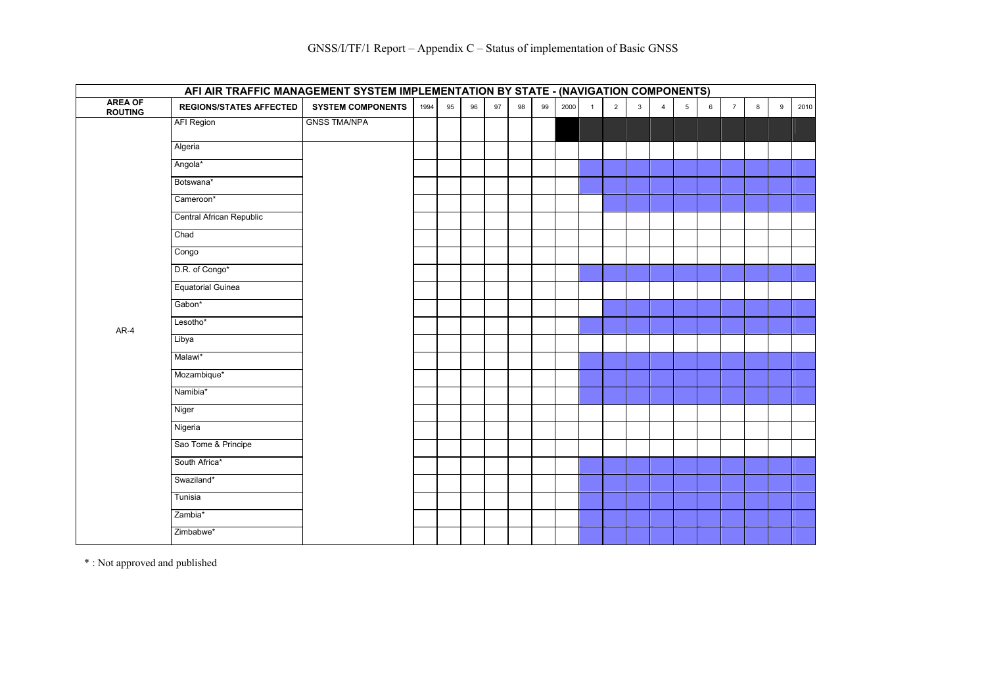|                            | AFI AIR TRAFFIC MANAGEMENT SYSTEM IMPLEMENTATION BY STATE - (NAVIGATION COMPONENTS) |                          |      |    |    |    |    |    |      |                |   |              |                |                |   |                |   |   |      |
|----------------------------|-------------------------------------------------------------------------------------|--------------------------|------|----|----|----|----|----|------|----------------|---|--------------|----------------|----------------|---|----------------|---|---|------|
| <b>AREA OF<br/>ROUTING</b> | <b>REGIONS/STATES AFFECTED</b>                                                      | <b>SYSTEM COMPONENTS</b> | 1994 | 95 | 96 | 97 | 98 | 99 | 2000 | $\overline{1}$ | 2 | $\mathbf{3}$ | $\overline{4}$ | 5 <sub>5</sub> | 6 | $\overline{7}$ | 8 | 9 | 2010 |
|                            | <b>AFI Region</b>                                                                   | <b>GNSS TMA/NPA</b>      |      |    |    |    |    |    |      |                |   |              |                |                |   |                |   |   |      |
|                            | Algeria                                                                             |                          |      |    |    |    |    |    |      |                |   |              |                |                |   |                |   |   |      |
|                            | Angola*                                                                             |                          |      |    |    |    |    |    |      |                |   |              |                |                |   |                |   |   |      |
|                            | Botswana*                                                                           |                          |      |    |    |    |    |    |      |                |   |              |                |                |   |                |   |   |      |
|                            | Cameroon*                                                                           |                          |      |    |    |    |    |    |      |                |   |              |                |                |   |                |   |   |      |
|                            | Central African Republic                                                            |                          |      |    |    |    |    |    |      |                |   |              |                |                |   |                |   |   |      |
|                            | Chad                                                                                |                          |      |    |    |    |    |    |      |                |   |              |                |                |   |                |   |   |      |
|                            | Congo                                                                               |                          |      |    |    |    |    |    |      |                |   |              |                |                |   |                |   |   |      |
|                            | D.R. of Congo*                                                                      |                          |      |    |    |    |    |    |      |                |   |              |                |                |   |                |   |   |      |
|                            | <b>Equatorial Guinea</b>                                                            |                          |      |    |    |    |    |    |      |                |   |              |                |                |   |                |   |   |      |
|                            | Gabon*                                                                              |                          |      |    |    |    |    |    |      |                |   |              |                |                |   |                |   |   |      |
| $AR-4$                     | Lesotho*                                                                            |                          |      |    |    |    |    |    |      |                |   |              |                |                |   |                |   |   |      |
|                            | Libya                                                                               |                          |      |    |    |    |    |    |      |                |   |              |                |                |   |                |   |   |      |
|                            | Malawi*                                                                             |                          |      |    |    |    |    |    |      |                |   |              |                |                |   |                |   |   |      |
|                            | Mozambique*                                                                         |                          |      |    |    |    |    |    |      |                |   |              |                |                |   |                |   |   |      |
|                            | Namibia*                                                                            |                          |      |    |    |    |    |    |      |                |   |              |                |                |   |                |   |   |      |
|                            | Niger                                                                               |                          |      |    |    |    |    |    |      |                |   |              |                |                |   |                |   |   |      |
|                            | Nigeria                                                                             |                          |      |    |    |    |    |    |      |                |   |              |                |                |   |                |   |   |      |
|                            | Sao Tome & Principe                                                                 |                          |      |    |    |    |    |    |      |                |   |              |                |                |   |                |   |   |      |
|                            | South Africa*                                                                       |                          |      |    |    |    |    |    |      |                |   |              |                |                |   |                |   |   |      |
|                            | Swaziland*                                                                          |                          |      |    |    |    |    |    |      |                |   |              |                |                |   |                |   |   |      |
|                            | Tunisia                                                                             |                          |      |    |    |    |    |    |      |                |   |              |                |                |   |                |   |   |      |
|                            | Zambia*                                                                             |                          |      |    |    |    |    |    |      |                |   |              |                |                |   |                |   |   |      |
|                            | Zimbabwe*                                                                           |                          |      |    |    |    |    |    |      |                |   |              |                |                |   |                |   |   |      |

\* : Not approved and published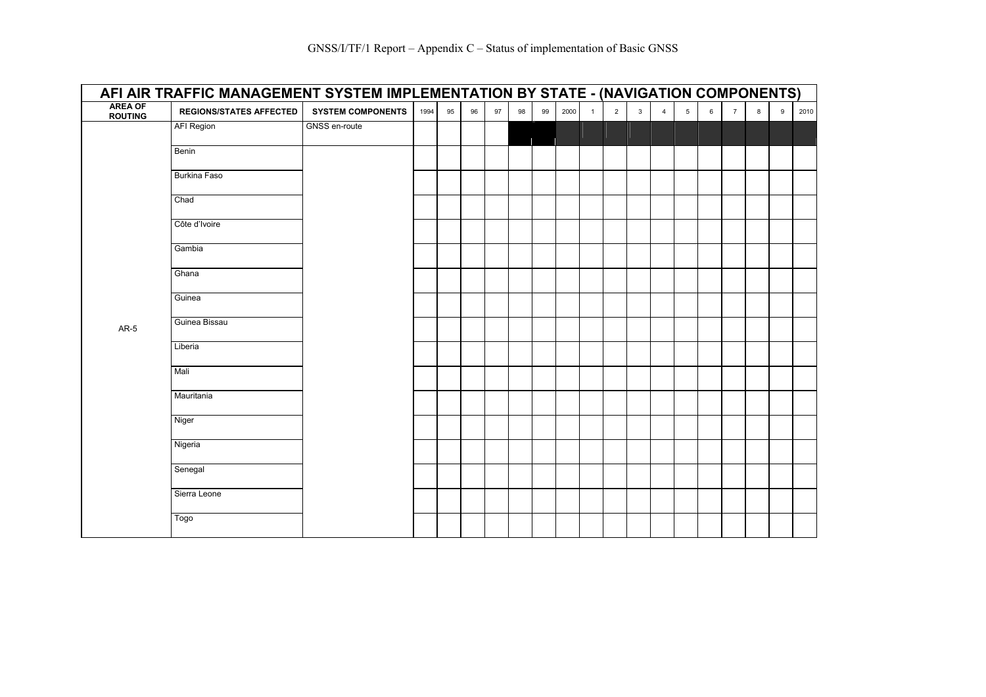| <b>AREA OF</b><br><b>ROUTING</b> | <b>REGIONS/STATES AFFECTED</b> | <b>SYSTEM COMPONENTS</b> | 1994 | 95 | 96 | 97 | 98 | 99 | 2000 | $\mathbf{1}$ | $\overline{2}$ | $\mathbf{3}$ | $\overline{4}$ | 5 | 6 | $\overline{7}$ | 8 | 9 |
|----------------------------------|--------------------------------|--------------------------|------|----|----|----|----|----|------|--------------|----------------|--------------|----------------|---|---|----------------|---|---|
|                                  | AFI Region                     | GNSS en-route            |      |    |    |    |    |    |      |              |                |              |                |   |   |                |   |   |
|                                  | Benin                          |                          |      |    |    |    |    |    |      |              |                |              |                |   |   |                |   |   |
|                                  | <b>Burkina Faso</b>            |                          |      |    |    |    |    |    |      |              |                |              |                |   |   |                |   |   |
|                                  | Chad                           |                          |      |    |    |    |    |    |      |              |                |              |                |   |   |                |   |   |
|                                  | Côte d'Ivoire                  |                          |      |    |    |    |    |    |      |              |                |              |                |   |   |                |   |   |
|                                  | Gambia                         |                          |      |    |    |    |    |    |      |              |                |              |                |   |   |                |   |   |
|                                  | Ghana                          |                          |      |    |    |    |    |    |      |              |                |              |                |   |   |                |   |   |
|                                  | Guinea                         |                          |      |    |    |    |    |    |      |              |                |              |                |   |   |                |   |   |
| <b>AR-5</b>                      | Guinea Bissau                  |                          |      |    |    |    |    |    |      |              |                |              |                |   |   |                |   |   |
|                                  | Liberia                        |                          |      |    |    |    |    |    |      |              |                |              |                |   |   |                |   |   |
|                                  | Mali                           |                          |      |    |    |    |    |    |      |              |                |              |                |   |   |                |   |   |
|                                  | Mauritania                     |                          |      |    |    |    |    |    |      |              |                |              |                |   |   |                |   |   |
|                                  | Niger                          |                          |      |    |    |    |    |    |      |              |                |              |                |   |   |                |   |   |
|                                  | Nigeria                        |                          |      |    |    |    |    |    |      |              |                |              |                |   |   |                |   |   |
|                                  | Senegal                        |                          |      |    |    |    |    |    |      |              |                |              |                |   |   |                |   |   |
|                                  | Sierra Leone                   |                          |      |    |    |    |    |    |      |              |                |              |                |   |   |                |   |   |
|                                  | Togo                           |                          |      |    |    |    |    |    |      |              |                |              |                |   |   |                |   |   |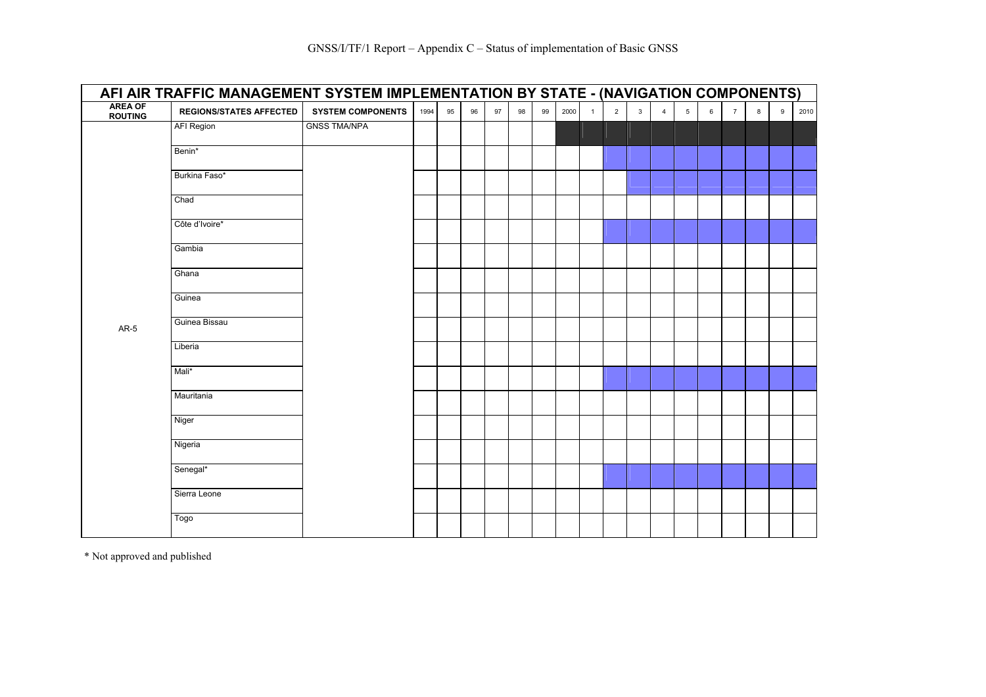|                                  | AFI AIR TRAFFIC MANAGEMENT SYSTEM IMPLEMENTATION BY STATE - (NAVIGATION COMPONENTS) |                          |      |    |    |    |    |    |      |              |                |              |                |                 |   |                |   |   |      |
|----------------------------------|-------------------------------------------------------------------------------------|--------------------------|------|----|----|----|----|----|------|--------------|----------------|--------------|----------------|-----------------|---|----------------|---|---|------|
| <b>AREA OF</b><br><b>ROUTING</b> | <b>REGIONS/STATES AFFECTED</b>                                                      | <b>SYSTEM COMPONENTS</b> | 1994 | 95 | 96 | 97 | 98 | 99 | 2000 | $\mathbf{1}$ | $\overline{2}$ | $\mathbf{3}$ | $\overline{4}$ | $5\phantom{.0}$ | 6 | $\overline{7}$ | 8 | 9 | 2010 |
|                                  | AFI Region                                                                          | <b>GNSS TMA/NPA</b>      |      |    |    |    |    |    |      |              |                |              |                |                 |   |                |   |   |      |
|                                  | Benin*                                                                              |                          |      |    |    |    |    |    |      |              |                |              |                |                 |   |                |   |   |      |
|                                  | Burkina Faso*                                                                       |                          |      |    |    |    |    |    |      |              |                |              |                |                 |   |                |   |   |      |
|                                  | Chad                                                                                |                          |      |    |    |    |    |    |      |              |                |              |                |                 |   |                |   |   |      |
|                                  | Côte d'Ivoire*                                                                      |                          |      |    |    |    |    |    |      |              |                |              |                |                 |   |                |   |   |      |
|                                  | Gambia                                                                              |                          |      |    |    |    |    |    |      |              |                |              |                |                 |   |                |   |   |      |
|                                  | Ghana                                                                               |                          |      |    |    |    |    |    |      |              |                |              |                |                 |   |                |   |   |      |
|                                  | Guinea                                                                              |                          |      |    |    |    |    |    |      |              |                |              |                |                 |   |                |   |   |      |
| $AR-5$                           | Guinea Bissau                                                                       |                          |      |    |    |    |    |    |      |              |                |              |                |                 |   |                |   |   |      |
|                                  | Liberia                                                                             |                          |      |    |    |    |    |    |      |              |                |              |                |                 |   |                |   |   |      |
|                                  | Mali*                                                                               |                          |      |    |    |    |    |    |      |              |                |              |                |                 |   |                |   |   |      |
|                                  | Mauritania                                                                          |                          |      |    |    |    |    |    |      |              |                |              |                |                 |   |                |   |   |      |
|                                  | Niger                                                                               |                          |      |    |    |    |    |    |      |              |                |              |                |                 |   |                |   |   |      |
|                                  | Nigeria                                                                             |                          |      |    |    |    |    |    |      |              |                |              |                |                 |   |                |   |   |      |
|                                  | Senegal*                                                                            |                          |      |    |    |    |    |    |      |              |                |              |                |                 |   |                |   |   |      |
|                                  | Sierra Leone                                                                        |                          |      |    |    |    |    |    |      |              |                |              |                |                 |   |                |   |   |      |
|                                  | Togo                                                                                |                          |      |    |    |    |    |    |      |              |                |              |                |                 |   |                |   |   |      |
|                                  |                                                                                     |                          |      |    |    |    |    |    |      |              |                |              |                |                 |   |                |   |   |      |

\* Not approved and published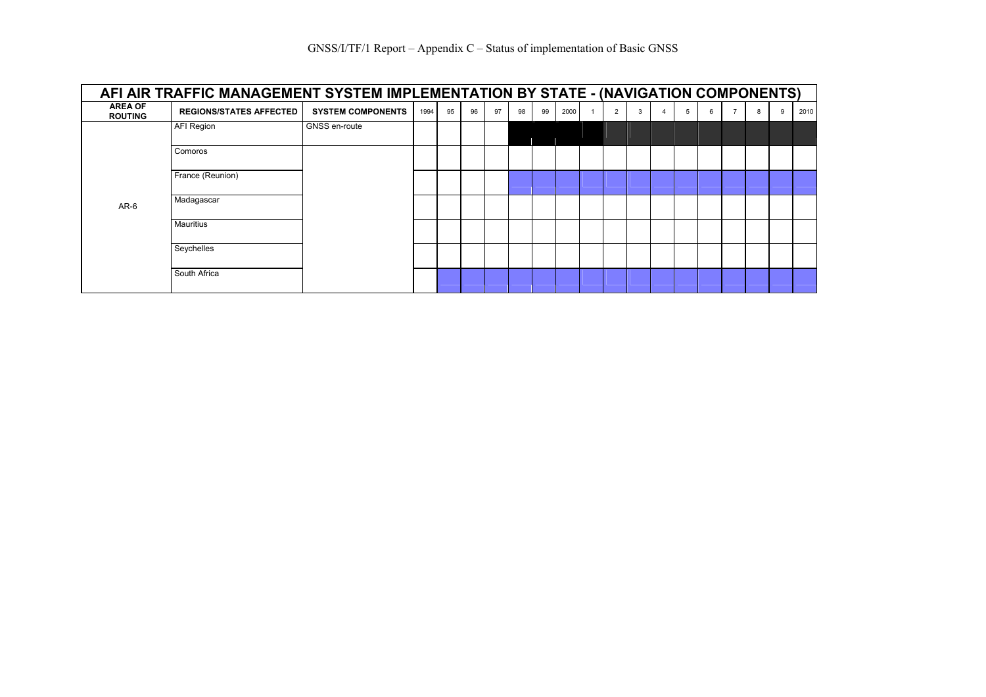|                                  | AFI AIR TRAFFIC MANAGEMENT SYSTEM IMPLEMENTATION BY STATE - (NAVIGATION COMPONENTS) |                          |      |    |    |    |    |    |      |                |   |   |   |                |   |   |      |
|----------------------------------|-------------------------------------------------------------------------------------|--------------------------|------|----|----|----|----|----|------|----------------|---|---|---|----------------|---|---|------|
| <b>AREA OF</b><br><b>ROUTING</b> | <b>REGIONS/STATES AFFECTED</b>                                                      | <b>SYSTEM COMPONENTS</b> | 1994 | 95 | 96 | 97 | 98 | 99 | 2000 | $\overline{2}$ | 3 | 5 | 6 | $\overline{7}$ | 8 | 9 | 2010 |
|                                  | AFI Region                                                                          | GNSS en-route            |      |    |    |    |    |    |      |                |   |   |   |                |   |   |      |
|                                  | Comoros                                                                             |                          |      |    |    |    |    |    |      |                |   |   |   |                |   |   |      |
|                                  | France (Reunion)                                                                    |                          |      |    |    |    |    |    |      |                |   |   |   |                |   |   |      |
| $AR-6$                           | Madagascar                                                                          |                          |      |    |    |    |    |    |      |                |   |   |   |                |   |   |      |
|                                  | <b>Mauritius</b>                                                                    |                          |      |    |    |    |    |    |      |                |   |   |   |                |   |   |      |
|                                  | Seychelles                                                                          |                          |      |    |    |    |    |    |      |                |   |   |   |                |   |   |      |
|                                  | South Africa                                                                        |                          |      |    |    |    |    |    |      |                |   |   |   |                |   |   |      |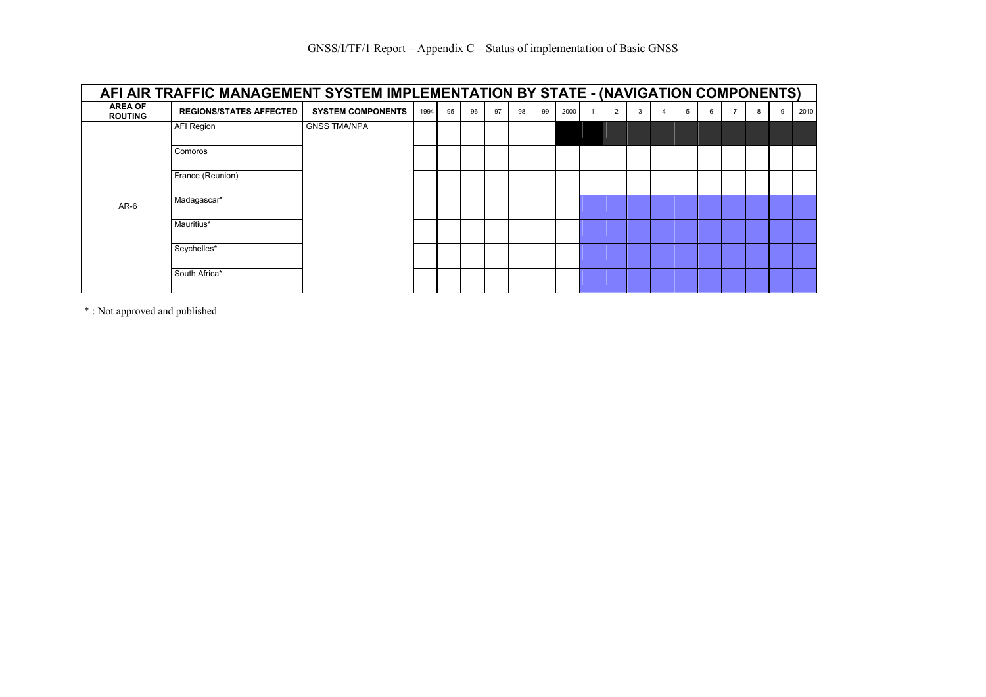| AFI AIR TRAFFIC MANAGEMENT SYSTEM IMPLEMENTATION BY STATE - (NAVIGATION COMPONENTS) |                                |                          |      |    |    |    |    |    |      |  |                |   |   |   |  |   |      |
|-------------------------------------------------------------------------------------|--------------------------------|--------------------------|------|----|----|----|----|----|------|--|----------------|---|---|---|--|---|------|
| <b>AREA OF</b><br><b>ROUTING</b>                                                    | <b>REGIONS/STATES AFFECTED</b> | <b>SYSTEM COMPONENTS</b> | 1994 | 95 | 96 | 97 | 98 | 99 | 2000 |  | $\overline{2}$ | 3 | 5 | 6 |  | 9 | 2010 |
|                                                                                     | AFI Region                     | <b>GNSS TMA/NPA</b>      |      |    |    |    |    |    |      |  |                |   |   |   |  |   |      |
|                                                                                     | Comoros                        |                          |      |    |    |    |    |    |      |  |                |   |   |   |  |   |      |
|                                                                                     | France (Reunion)               |                          |      |    |    |    |    |    |      |  |                |   |   |   |  |   |      |
| $AR-6$                                                                              | Madagascar*                    |                          |      |    |    |    |    |    |      |  |                |   |   |   |  |   |      |
|                                                                                     | Mauritius*                     |                          |      |    |    |    |    |    |      |  |                |   |   |   |  |   |      |
|                                                                                     | Seychelles*                    |                          |      |    |    |    |    |    |      |  |                |   |   |   |  |   |      |
|                                                                                     | South Africa*                  |                          |      |    |    |    |    |    |      |  |                |   |   |   |  |   |      |

\* : Not approved and published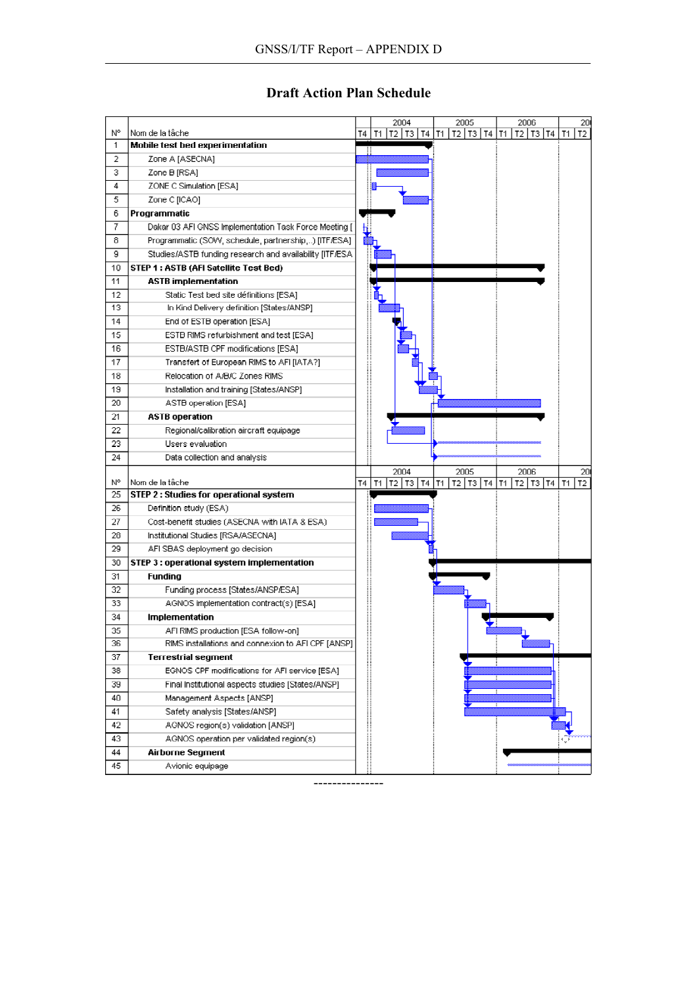## **Draft Action Plan Schedule**

|     |                                                         |           |    | 2004                 |    | 2005            | 2006               | 20)                  |
|-----|---------------------------------------------------------|-----------|----|----------------------|----|-----------------|--------------------|----------------------|
| N°  | Nom de la tâche                                         | Τ4        | Т1 | T2  <br>- T3 I<br>T4 | T1 | T2   T3  <br>T4 | T2   T3   T4<br>T1 | T2<br>T1             |
| 1   | Mobile test bed experimentation                         |           |    |                      |    |                 |                    |                      |
| 2   | Zone A [ASECNA]                                         |           |    |                      |    |                 |                    |                      |
| з   | Zone B [RSA]                                            |           |    |                      |    |                 |                    |                      |
| 4   | ZONE C Simulation [ESA]                                 |           |    |                      |    |                 |                    |                      |
| 5   | Zone C [ICAO]                                           |           |    |                      |    |                 |                    |                      |
| 6   | Programmatic                                            |           |    |                      |    |                 |                    |                      |
| 7   | Dakar 03 AFI GNSS Implementation Task Force Meeting [   |           |    |                      |    |                 |                    |                      |
| 8   | Programmatic (SOW, schedule, partnership,) [ITF/ESA]    |           |    |                      |    |                 |                    |                      |
| 9   | Studies/ASTB funding research and availability [ITF/ESA |           |    |                      |    |                 |                    |                      |
| 10  | STEP 1: ASTB (AFI Satellite Test Bed)                   |           |    |                      |    |                 |                    |                      |
| 11  | <b>ASTB</b> implementation                              |           |    |                      |    |                 |                    |                      |
| 12  | Static Test bed site définitions [ESA]                  |           |    |                      |    |                 |                    |                      |
| 13  | In Kind Delivery definition [States/ANSP]               |           |    |                      |    |                 |                    |                      |
| 14  | End of ESTB operation [ESA]                             |           |    |                      |    |                 |                    |                      |
| 15  | ESTB RIMS refurbishment and test [ESA]                  |           |    |                      |    |                 |                    |                      |
| 16  | ESTB/ASTB CPF modifications [ESA]                       |           |    |                      |    |                 |                    |                      |
| 17  | Transfert of European RIMS to AFI [IATA?]               |           |    |                      |    |                 |                    |                      |
| 18  | Relocation of A/B/C Zones RIMS                          |           |    |                      |    |                 |                    |                      |
| 19  | Installation and training [States/ANSP]                 |           |    |                      |    |                 |                    |                      |
| 20  | ASTB operation [ESA]                                    |           |    |                      |    |                 |                    |                      |
| 21  | <b>ASTB</b> operation                                   |           |    |                      |    |                 |                    |                      |
| 22  | Regional/calibration aircraft equipage                  |           |    |                      |    |                 |                    |                      |
| 23  | Users evaluation                                        |           |    |                      |    |                 |                    |                      |
| 24  | Data collection and analysis                            |           |    |                      |    |                 |                    |                      |
|     |                                                         |           |    | 2004                 |    | 2005            | 2006               | 20                   |
| N°  | Nom de la tâche                                         | <b>T4</b> | T1 | T2   T3   T4   T1    |    | T2 T3 T4        | T1<br>T2 T3 T4     | T <sub>2</sub><br>T1 |
| 25  | STEP 2 : Studies for operational system                 |           |    |                      |    |                 |                    |                      |
| 26  | Definition study (ESA)                                  |           |    |                      |    |                 |                    |                      |
| 27  | Cost benefit studies (ASECNA with IATA & ESA)           |           |    |                      |    |                 |                    |                      |
| 28  | Institutional Studies [RSA/ASECNA]                      |           |    |                      |    |                 |                    |                      |
| 29  | AFI SBAS deployment go decision                         |           |    |                      |    |                 |                    |                      |
| 30  | STEP 3 : operational system implementation              |           |    |                      |    |                 |                    |                      |
| 31  | Funding                                                 |           |    |                      |    |                 |                    |                      |
| 32  | Funding process [States/ANSP/ESA]                       |           |    |                      |    |                 |                    |                      |
| 33  | AGNOS implementation contract(s) [ESA]                  |           |    |                      |    |                 |                    |                      |
| 34  | Implementation                                          |           |    |                      |    |                 |                    |                      |
| 35  | AFI RIMS production [ESA follow-on]                     |           |    |                      |    |                 |                    |                      |
| 36  | RIMS installations and connexion to AFI CPF [ANSP]      |           |    |                      |    |                 |                    |                      |
| 37  | <b>Terrestrial segment</b>                              |           |    |                      |    |                 |                    |                      |
| 38. | EGNOS CPF modifications for AFI service (ESA)           |           |    |                      |    |                 |                    |                      |
| 39  | Final Institutional aspects studies [States/ANSP]       |           |    |                      |    |                 |                    |                      |
| 40  | Management Aspects [ANSP]                               |           |    |                      |    |                 |                    |                      |
| 41  | Safety analysis [States/ANSP]                           |           |    |                      |    |                 |                    |                      |
| 42  | AGNOS region(s) validation [ANSP]                       |           |    |                      |    |                 |                    |                      |
| 43  | AGNOS operation per validated region(s)                 |           |    |                      |    |                 |                    |                      |
| 44  | Airborne Segment                                        |           |    |                      |    |                 |                    |                      |
| 45  | Avionic equipage                                        |           |    |                      |    |                 |                    |                      |

---------------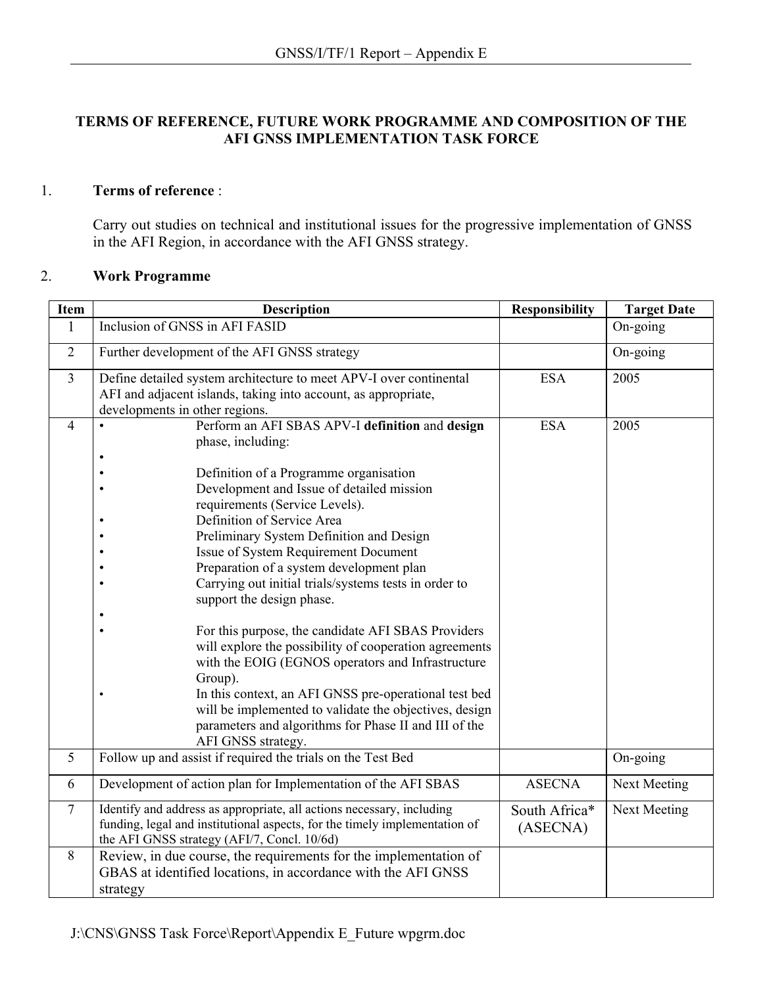#### **TERMS OF REFERENCE, FUTURE WORK PROGRAMME AND COMPOSITION OF THE AFI GNSS IMPLEMENTATION TASK FORCE**

#### 1. **Terms of reference** :

Carry out studies on technical and institutional issues for the progressive implementation of GNSS in the AFI Region, in accordance with the AFI GNSS strategy.

## 2. **Work Programme**

| <b>Item</b>    | <b>Description</b>                                                                                                                                                                                                                                                                                                                                                                                                                                                                                                                                                                                                                                                                                                                                                                                                                                            | <b>Responsibility</b>     | <b>Target Date</b> |
|----------------|---------------------------------------------------------------------------------------------------------------------------------------------------------------------------------------------------------------------------------------------------------------------------------------------------------------------------------------------------------------------------------------------------------------------------------------------------------------------------------------------------------------------------------------------------------------------------------------------------------------------------------------------------------------------------------------------------------------------------------------------------------------------------------------------------------------------------------------------------------------|---------------------------|--------------------|
| 1              | Inclusion of GNSS in AFI FASID                                                                                                                                                                                                                                                                                                                                                                                                                                                                                                                                                                                                                                                                                                                                                                                                                                |                           | On-going           |
| $\overline{2}$ | Further development of the AFI GNSS strategy                                                                                                                                                                                                                                                                                                                                                                                                                                                                                                                                                                                                                                                                                                                                                                                                                  |                           | On-going           |
| $\overline{3}$ | Define detailed system architecture to meet APV-I over continental<br>AFI and adjacent islands, taking into account, as appropriate,<br>developments in other regions.                                                                                                                                                                                                                                                                                                                                                                                                                                                                                                                                                                                                                                                                                        | <b>ESA</b>                | 2005               |
| $\overline{4}$ | Perform an AFI SBAS APV-I definition and design<br>phase, including:<br>Definition of a Programme organisation<br>Development and Issue of detailed mission<br>requirements (Service Levels).<br>Definition of Service Area<br>Preliminary System Definition and Design<br>Issue of System Requirement Document<br>Preparation of a system development plan<br>Carrying out initial trials/systems tests in order to<br>$\bullet$<br>support the design phase.<br>For this purpose, the candidate AFI SBAS Providers<br>will explore the possibility of cooperation agreements<br>with the EOIG (EGNOS operators and Infrastructure<br>Group).<br>In this context, an AFI GNSS pre-operational test bed<br>$\bullet$<br>will be implemented to validate the objectives, design<br>parameters and algorithms for Phase II and III of the<br>AFI GNSS strategy. | <b>ESA</b>                | 2005               |
| 5              | Follow up and assist if required the trials on the Test Bed                                                                                                                                                                                                                                                                                                                                                                                                                                                                                                                                                                                                                                                                                                                                                                                                   |                           | On-going           |
| 6              | Development of action plan for Implementation of the AFI SBAS                                                                                                                                                                                                                                                                                                                                                                                                                                                                                                                                                                                                                                                                                                                                                                                                 | <b>ASECNA</b>             | Next Meeting       |
| $\overline{7}$ | Identify and address as appropriate, all actions necessary, including<br>funding, legal and institutional aspects, for the timely implementation of<br>the AFI GNSS strategy (AFI/7, Concl. 10/6d)                                                                                                                                                                                                                                                                                                                                                                                                                                                                                                                                                                                                                                                            | South Africa*<br>(ASECNA) | Next Meeting       |
| 8              | Review, in due course, the requirements for the implementation of<br>GBAS at identified locations, in accordance with the AFI GNSS<br>strategy                                                                                                                                                                                                                                                                                                                                                                                                                                                                                                                                                                                                                                                                                                                |                           |                    |